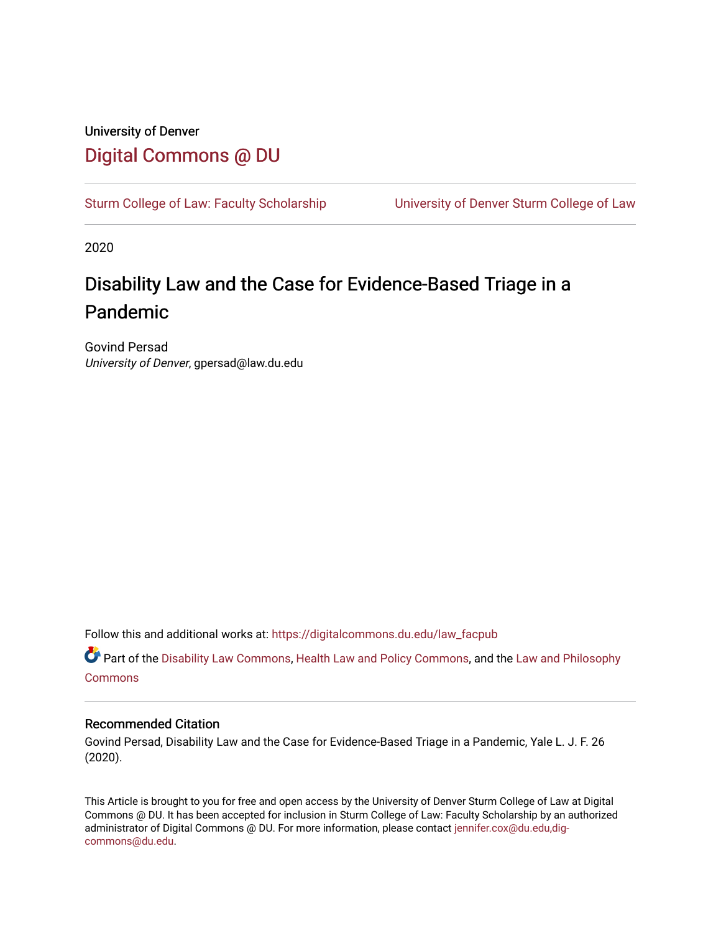# University of Denver [Digital Commons @ DU](https://digitalcommons.du.edu/)

[Sturm College of Law: Faculty Scholarship](https://digitalcommons.du.edu/law_facpub) [University of Denver Sturm College of Law](https://digitalcommons.du.edu/denver_law) 

2020

# Disability Law and the Case for Evidence-Based Triage in a Pandemic

Govind Persad University of Denver, gpersad@law.du.edu

Follow this and additional works at: [https://digitalcommons.du.edu/law\\_facpub](https://digitalcommons.du.edu/law_facpub?utm_source=digitalcommons.du.edu%2Flaw_facpub%2F241&utm_medium=PDF&utm_campaign=PDFCoverPages) 

Part of the [Disability Law Commons](http://network.bepress.com/hgg/discipline/1074?utm_source=digitalcommons.du.edu%2Flaw_facpub%2F241&utm_medium=PDF&utm_campaign=PDFCoverPages), [Health Law and Policy Commons](http://network.bepress.com/hgg/discipline/901?utm_source=digitalcommons.du.edu%2Flaw_facpub%2F241&utm_medium=PDF&utm_campaign=PDFCoverPages), and the [Law and Philosophy](http://network.bepress.com/hgg/discipline/1299?utm_source=digitalcommons.du.edu%2Flaw_facpub%2F241&utm_medium=PDF&utm_campaign=PDFCoverPages) [Commons](http://network.bepress.com/hgg/discipline/1299?utm_source=digitalcommons.du.edu%2Flaw_facpub%2F241&utm_medium=PDF&utm_campaign=PDFCoverPages)

# Recommended Citation

Govind Persad, Disability Law and the Case for Evidence-Based Triage in a Pandemic, Yale L. J. F. 26 (2020).

This Article is brought to you for free and open access by the University of Denver Sturm College of Law at Digital Commons @ DU. It has been accepted for inclusion in Sturm College of Law: Faculty Scholarship by an authorized administrator of Digital Commons @ DU. For more information, please contact [jennifer.cox@du.edu,dig](mailto:jennifer.cox@du.edu,dig-commons@du.edu)[commons@du.edu.](mailto:jennifer.cox@du.edu,dig-commons@du.edu)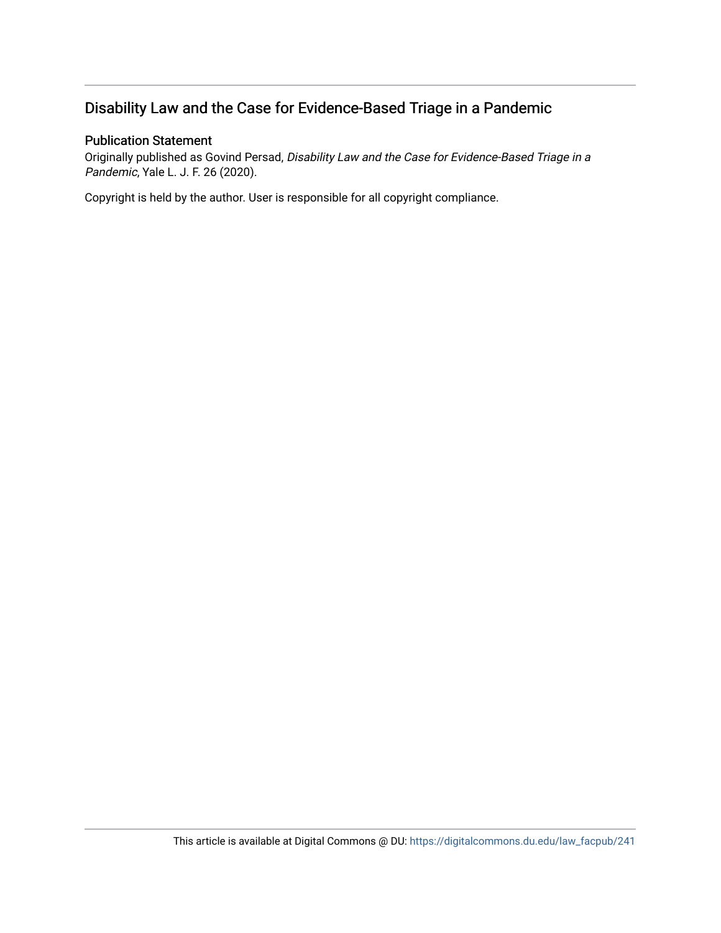# Disability Law and the Case for Evidence-Based Triage in a Pandemic

# Publication Statement

Originally published as Govind Persad, Disability Law and the Case for Evidence-Based Triage in a Pandemic, Yale L. J. F. 26 (2020).

Copyright is held by the author. User is responsible for all copyright compliance.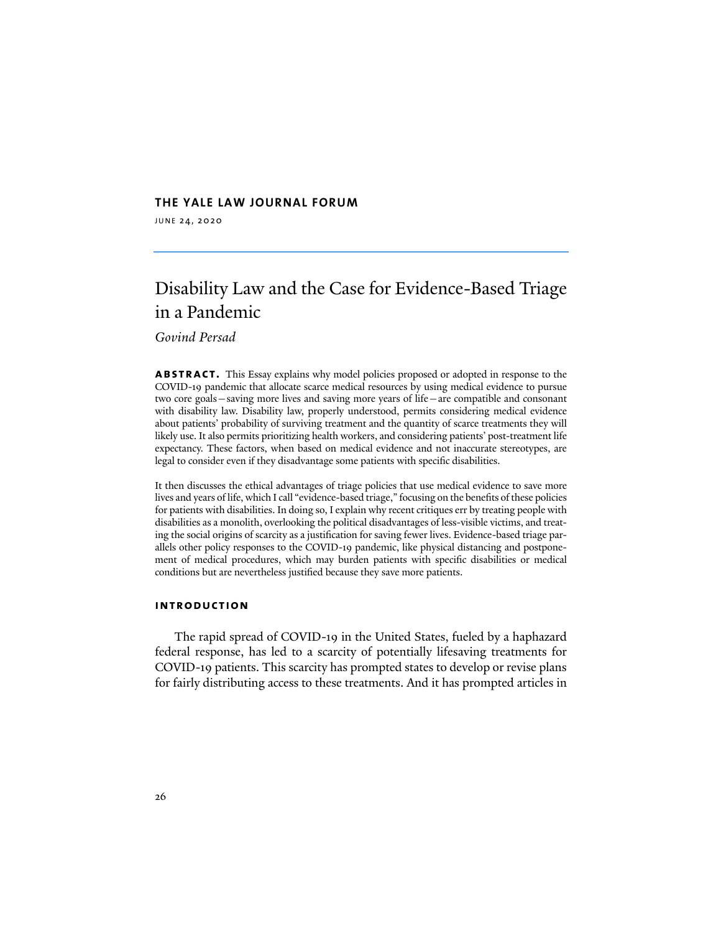#### **THE YALE LAW JOURNAL FORUM**

JUNE 24, 2020

# Disability Law and the Case for Evidence-Based Triage in a Pandemic

*Govind Persad*

**abstract.** This Essay explains why model policies proposed or adopted in response to the COVID-19 pandemic that allocate scarce medical resources by using medical evidence to pursue two core goals—saving more lives and saving more years of life—are compatible and consonant with disability law. Disability law, properly understood, permits considering medical evidence about patients' probability of surviving treatment and the quantity of scarce treatments they will likely use. It also permits prioritizing health workers, and considering patients' post-treatment life expectancy. These factors, when based on medical evidence and not inaccurate stereotypes, are legal to consider even if they disadvantage some patients with specific disabilities.

It then discusses the ethical advantages of triage policies that use medical evidence to save more lives and years of life, which I call "evidence-based triage," focusing on the benefits of these policies for patients with disabilities. In doing so, I explain why recent critiques err by treating people with disabilities as a monolith, overlooking the political disadvantages of less-visible victims, and treating the social origins of scarcity as a justification for saving fewer lives. Evidence-based triage parallels other policy responses to the COVID-19 pandemic, like physical distancing and postponement of medical procedures, which may burden patients with specific disabilities or medical conditions but are nevertheless justified because they save more patients.

#### **introduction**

The rapid spread of COVID-19 in the United States, fueled by a haphazard federal response, has led to a scarcity of potentially lifesaving treatments for COVID-19 patients. This scarcity has prompted states to develop or revise plans for fairly distributing access to these treatments. And it has prompted articles in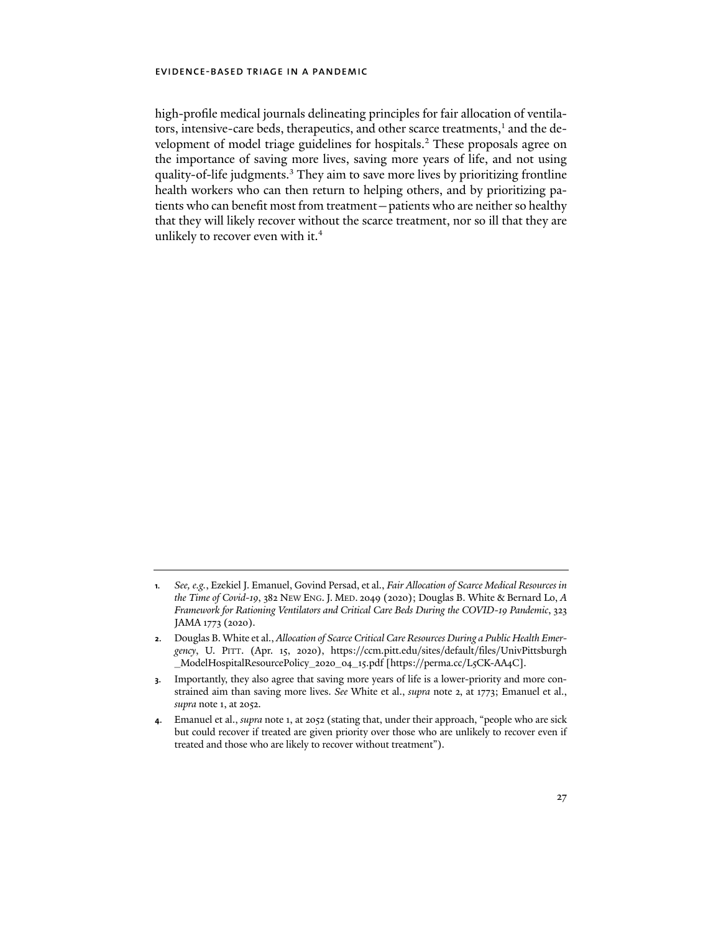high-profile medical journals delineating principles for fair allocation of ventilators, intensive-care beds, therapeutics, and other scarce treatments,<sup>1</sup> and the development of model triage guidelines for hospitals.<sup>2</sup> These proposals agree on the importance of saving more lives, saving more years of life, and not using quality-of-life judgments.<sup>3</sup> They aim to save more lives by prioritizing frontline health workers who can then return to helping others, and by prioritizing patients who can benefit most from treatment—patients who are neither so healthy that they will likely recover without the scarce treatment, nor so ill that they are unlikely to recover even with it.<sup>4</sup>

**<sup>1</sup>***. See, e.g.*, Ezekiel J. Emanuel, Govind Persad, et al., *Fair Allocation of Scarce Medical Resources in the Time of Covid-19*, 382 NEW ENG. J. MED. 2049 (2020); Douglas B. White & Bernard Lo, *A Framework for Rationing Ventilators and Critical Care Beds During the COVID-19 Pandemic*, 323 JAMA 1773 (2020).

**<sup>2</sup>**. Douglas B. White et al., *Allocation of Scarce Critical Care Resources During a Public Health Emergency*, U. PITT. (Apr. 15, 2020), [https://ccm.pitt.edu/sites/default/files/UnivPittsburgh](https://ccm.pitt.edu/sites/default/files/UnivPittsburgh_ModelHospitalResourcePolicy_2020_04_15.pdf) [\\_ModelHospitalResourcePolicy\\_](https://ccm.pitt.edu/sites/default/files/UnivPittsburgh_ModelHospitalResourcePolicy_2020_04_15.pdf)2020\_04\_15.pdf [[https://perma.cc/L](https://perma.cc/L5CK-AA4C])5CK-AA4C].

**<sup>3</sup>**. Importantly, they also agree that saving more years of life is a lower-priority and more constrained aim than saving more lives. *See* White et al., *supra* note 2, at 1773; Emanuel et al., *supra* note 1, at 2052.

**<sup>4</sup>**. Emanuel et al., *supra* note 1, at 2052 (stating that, under their approach, "people who are sick but could recover if treated are given priority over those who are unlikely to recover even if treated and those who are likely to recover without treatment").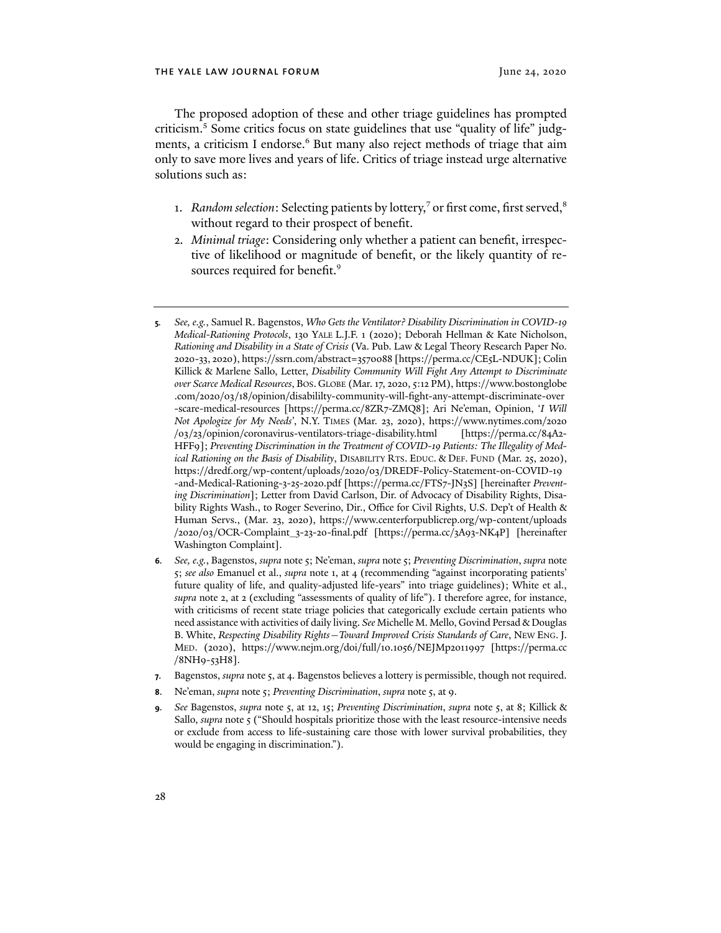The proposed adoption of these and other triage guidelines has prompted criticism. <sup>5</sup> Some critics focus on state guidelines that use "quality of life" judgments, a criticism I endorse.<sup>6</sup> But many also reject methods of triage that aim only to save more lives and years of life. Critics of triage instead urge alternative solutions such as:

- 1. *Random selection*: Selecting patients by lottery,<sup>7</sup> or first come, first served,<sup>8</sup> without regard to their prospect of benefit.
- 2. *Minimal triage*: Considering only whether a patient can benefit, irrespective of likelihood or magnitude of benefit, or the likely quantity of resources required for benefit.<sup>9</sup>
- **5***. See, e.g.*, Samuel R. Bagenstos, *Who Gets the Ventilator? Disability Discrimination in COVID-19 Medical-Rationing Protocols*, 130 YALE L.J.F. 1 (2020); Deborah Hellman & Kate Nicholson, *Rationing and Disability in a State of Crisis* (Va. Pub. Law & Legal Theory Research Paper No. 2020-33, 2020), [https://ssrn.com/abstract=](https://ssrn.com/abstract=3570088)3570088 [[https://perma.cc/CE](https://perma.cc/CE5L-NDUK)5L-NDUK]; Colin Killick & Marlene Sallo, Letter, *Disability Community Will Fight Any Attempt to Discriminate over Scarce Medical Resources*, BOS. GLOBE (Mar. 17, 2020, 5:12 PM), [https://www.bostonglobe](https://www.bostonglobe.com/2020/03/18/opinion/disabililty-community-will-fight-any-attempt-discriminate-over-scare-medical-resources/) .com/2020/03/18[/opinion/disabililty-community-will-fight-any-attempt-discriminate-over](https://www.bostonglobe.com/2020/03/18/opinion/disabililty-community-will-fight-any-attempt-discriminate-over-scare-medical-resources/) [-scare-medical-resources \[](https://www.bostonglobe.com/2020/03/18/opinion/disabililty-community-will-fight-any-attempt-discriminate-over-scare-medical-resources/)[https://perma.cc/](https://perma.cc/8ZR7-ZMQ8])8ZR7-ZMQ8]; Ari Ne'eman, Opinion, '*I Will Not Apologize for My Needs'*, N.Y. TIMES (Mar. 23, 2020), [https://www.nytimes.com/](https://www.nytimes.com/2020/03/23/opinion/coronavirus-ventilators-triage-disability.html)2020 /03/23[/opinion/coronavirus-ventilators-triage-disability.html](https://www.nytimes.com/2020/03/23/opinion/coronavirus-ventilators-triage-disability.html) [\[https://perma.cc/](https://perma.cc/84A2-HFF9)84A2- [HFF](https://perma.cc/84A2-HFF9)9]; *Preventing Discrimination in the Treatment of COVID-19 Patients: The Illegality of Medical Rationing on the Basis of Disability*, DISABILITY RTS. EDUC. & DEF. FUND (Mar. 25, 2020), https://dredf.org/wp-content/uploads/2020/03[/DREDF-Policy-Statement-on-COVID-](https://dredf.org/wp-content/uploads/2020/03/DREDF-Policy-Statement-on-COVID-19-and-Medical-Rationing-3-25-2020.pdf)19 [-and-Medical-Rationing-](https://dredf.org/wp-content/uploads/2020/03/DREDF-Policy-Statement-on-COVID-19-and-Medical-Rationing-3-25-2020.pdf)3-25-2020.pdf [[https://perma.cc/FTS](https://perma.cc/FTS7-JN3S])7-JN3S] [hereinafter *Preventing Discrimination*]; Letter from David Carlson, Dir. of Advocacy of Disability Rights, Disability Rights Wash., to Roger Severino, Dir., Office for Civil Rights, U.S. Dep't of Health & Human Servs., (Mar. 23, 2020), [https://www.centerforpublicrep.org/wp-content/uploads](https://www.centerforpublicrep.org/wp-content/uploads/2020/03/OCR-Complaint_3-23-20-final.pdf%20) /2020/03[/OCR-Complaint\\_](https://www.centerforpublicrep.org/wp-content/uploads/2020/03/OCR-Complaint_3-23-20-final.pdf%20)3-23-20-final.pdf [\[https://perma.cc/](https://perma.cc/3A93-NK4P])3A93-NK4P] [hereinafer Washington Complaint].
- **6***. See, e.g.*, Bagenstos, *supra* note 5; Ne'eman, *supra* note 5; *Preventing Discrimination*, *supra* note 5; *see also* Emanuel et al., *supra* note 1, at 4 (recommending "against incorporating patients' future quality of life, and quality-adjusted life-years" into triage guidelines); White et al., *supra* note 2, at 2 (excluding "assessments of quality of life"). I therefore agree, for instance, with criticisms of recent state triage policies that categorically exclude certain patients who need assistance with activities of daily living. *See* Michelle M. Mello, Govind Persad & Douglas B. White, *Respecting Disability Rights—Toward Improved Crisis Standards of Care*, NEW ENG. J. MED. (2020), [https://www.nejm.org/doi/full/](https://www.nejm.org/doi/full/10.1056/NEJMp2011997)10.1056/NEJMp2011997 [[https://perma.cc](https://perma.cc/8NH9-53H8]) /8[NH](https://perma.cc/8NH9-53H8])9-53H8].
- **7**. Bagenstos, *supra* note 5, at 4. Bagenstos believes a lottery is permissible, though not required.
- **8**. Ne'eman, *supra* note 5; *Preventing Discrimination*, *supra* note 5, at 9.
- **9***. See* Bagenstos, *supra* note 5, at 12, 15; *Preventing Discrimination*, *supra* note 5, at 8; Killick & Sallo, *supra* note 5 ("Should hospitals prioritize those with the least resource-intensive needs or exclude from access to life-sustaining care those with lower survival probabilities, they would be engaging in discrimination.").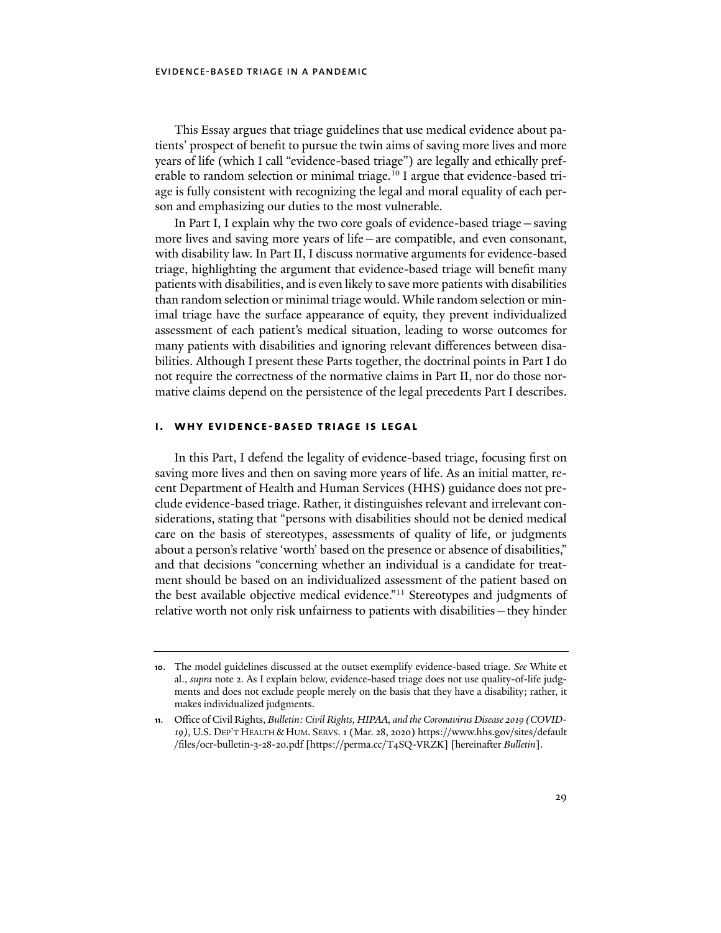This Essay argues that triage guidelines that use medical evidence about patients' prospect of benefit to pursue the twin aims of saving more lives and more years of life (which I call "evidence-based triage") are legally and ethically preferable to random selection or minimal triage.<sup>10</sup> I argue that evidence-based triage is fully consistent with recognizing the legal and moral equality of each person and emphasizing our duties to the most vulnerable.

In Part I, I explain why the two core goals of evidence-based triage—saving more lives and saving more years of life—are compatible, and even consonant, with disability law. In Part II, I discuss normative arguments for evidence-based triage, highlighting the argument that evidence-based triage will benefit many patients with disabilities, and is even likely to save more patients with disabilities than random selection or minimal triage would. While random selection or minimal triage have the surface appearance of equity, they prevent individualized assessment of each patient's medical situation, leading to worse outcomes for many patients with disabilities and ignoring relevant differences between disabilities. Although I present these Parts together, the doctrinal points in Part I do not require the correctness of the normative claims in Part II, nor do those normative claims depend on the persistence of the legal precedents Part I describes.

### **i. why evidence-based triage is legal**

In this Part, I defend the legality of evidence-based triage, focusing first on saving more lives and then on saving more years of life. As an initial matter, recent Department of Health and Human Services (HHS) guidance does not preclude evidence-based triage. Rather, it distinguishes relevant and irrelevant considerations, stating that "persons with disabilities should not be denied medical care on the basis of stereotypes, assessments of quality of life, or judgments about a person's relative 'worth' based on the presence or absence of disabilities," and that decisions "concerning whether an individual is a candidate for treatment should be based on an individualized assessment of the patient based on the best available objective medical evidence."<sup>11</sup> Stereotypes and judgments of relative worth not only risk unfairness to patients with disabilities—they hinder

**<sup>10</sup>**. The model guidelines discussed at the outset exemplify evidence-based triage. *See* White et al., *supra* note 2. As I explain below, evidence-based triage does not use quality-of-life judgments and does not exclude people merely on the basis that they have a disability; rather, it makes individualized judgments.

**<sup>11</sup>**. Office of Civil Rights, *Bulletin: Civil Rights, HIPAA, and the Coronavirus Disease 2019 (COVID-19)*, U.S. DEP'T HEALTH & HUM. SERVS. 1 (Mar. 28, 2020) [https://www.hhs.gov/sites/default](https://www.hhs.gov/sites/default/files/ocr-bulletin-3-28-20.pdf) [/files/ocr-bulletin-](https://www.hhs.gov/sites/default/files/ocr-bulletin-3-28-20.pdf)3-28-20.pdf [\[https://perma.cc/T](https://perma.cc/T4SQ-VRZK])4SQ-VRZK] [hereinafer *Bulletin*].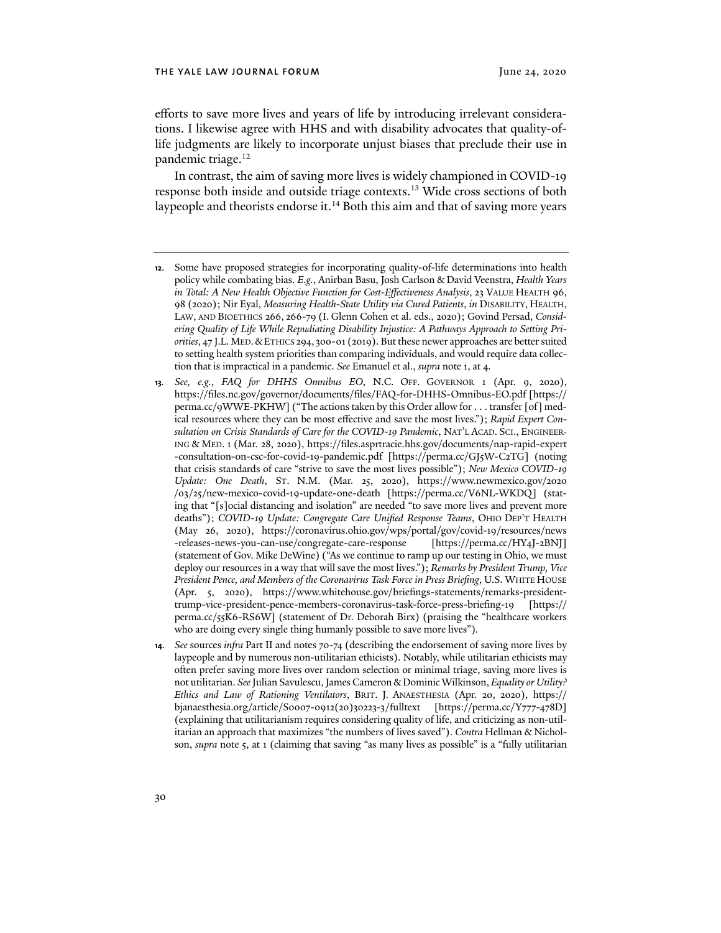efforts to save more lives and years of life by introducing irrelevant considerations. I likewise agree with HHS and with disability advocates that quality-oflife judgments are likely to incorporate unjust biases that preclude their use in pandemic triage.12

In contrast, the aim of saving more lives is widely championed in COVID-19 response both inside and outside triage contexts.13 Wide cross sections of both laypeople and theorists endorse it.<sup>14</sup> Both this aim and that of saving more years

- **12**. Some have proposed strategies for incorporating quality-of-life determinations into health policy while combating bias. *E.g.*, Anirban Basu, Josh Carlson & David Veenstra, *Health Years in Total: A New Health Objective Function for Cost-Effectiveness Analysis*, 23 VALUE HEALTH 96, 98 (2020); Nir Eyal, *Measuring Health-State Utility via Cured Patients*, *in* DISABILITY, HEALTH, LAW, AND BIOETHICS 266, 266-79 (I. Glenn Cohen et al. eds., 2020); Govind Persad, *Considering Quality of Life While Repudiating Disability Injustice: A Pathways Approach to Setting Pri*orities, 47 J.L. MED. & ETHICS 294, 300-01 (2019). But these newer approaches are better suited to setting health system priorities than comparing individuals, and would require data collection that is impractical in a pandemic. *See* Emanuel et al., *supra* note 1, at 4.
- **13***. See, e.g.*, *FAQ for DHHS Omnibus EO*, N.C. OFF. GOVERNOR 1 (Apr. 9, 2020), [https://files.nc.gov/governor/documents/files/FAQ-for-DHHS-Omnibus-EO.pdf \[](https://files.nc.gov/governor/documents/files/FAQ-for-DHHS-Omnibus-EO.pdf)[https://](https://perma.cc/9WWE-PKHW]) perma.cc/9[WWE-PKHW\] \("](https://perma.cc/9WWE-PKHW])The actions taken by this Order allow for . . . transfer [of] medical resources where they can be most effective and save the most lives."); *Rapid Expert Consultation on Crisis Standards of Care for the COVID-19 Pandemic*, NAT'L ACAD. SCI., ENGINEER-ING & MED. 1 (Mar. 28, 2020), [https://files.asprtracie.hhs.gov/documents/nap-rapid-expert](https://files.asprtracie.hhs.gov/documents/nap-rapid-expert-consultation-on-csc-for-covid-19-pandemic.pdf) [-consultation-on-csc-for-covid-](https://files.asprtracie.hhs.gov/documents/nap-rapid-expert-consultation-on-csc-for-covid-19-pandemic.pdf)19-pandemic.pdf [\[https://perma.cc/GJ](https://perma.cc/GJ5W-C2TG])5W-C2TG] (noting that crisis standards of care "strive to save the most lives possible"); *New Mexico COVID-19 Update: One Death*, ST. N.M. (Mar. 25, 2020), [https://www.newmexico.gov/](https://www.newmexico.gov/2020/03/25/new-mexico-covid-19-update-one-death)2020 /03/25[/new-mexico-covid-](https://www.newmexico.gov/2020/03/25/new-mexico-covid-19-update-one-death)19-update-one-death [[https://perma.cc/V](https://perma.cc/V6NL-WKDQ])6NL-WKDQ] (stating that "[s]ocial distancing and isolation" are needed "to save more lives and prevent more deaths"); *COVID-19 Update: Congregate Care Unified Response Teams*, OHIO DEP'T HEALTH (May 26, 2020), [https://coronavirus.ohio.gov/wps/portal/gov/covid-](https://coronavirus.ohio.gov/wps/portal/gov/covid-19/resources/news-releases-news-you-can-use/congregate-care-response)19/resources/news [-releases-news-you-can-use/congregate-care-response](https://coronavirus.ohio.gov/wps/portal/gov/covid-19/resources/news-releases-news-you-can-use/congregate-care-response) [\[https://perma.cc/HY](https://perma.cc/HY4J-2BNJ])4J-2BNJ] (statement of Gov. Mike DeWine) ("As we continue to ramp up our testing in Ohio, we must deploy our resources in a way that will save the most lives."); *Remarks by President Trump, Vice President Pence, and Members of the Coronavirus Task Force in Press Briefing*, U.S. WHITE HOUSE (Apr. 5, 2020), [https://www.whitehouse.gov/briefings-statements/remarks-president](https://www.whitehouse.gov/briefings-statements/remarks-president-trump-vice-president-pence-members-coronavirus-task-force-press-briefing-19/)[trump-vice-president-pence-members-coronavirus-task-force-press-briefing-](https://www.whitehouse.gov/briefings-statements/remarks-president-trump-vice-president-pence-members-coronavirus-task-force-press-briefing-19/)19 [\[https://](https://perma.cc/55K6-RS6W]) [perma.cc/](https://perma.cc/55K6-RS6W])55K6-RS6W] (statement of Dr. Deborah Birx) (praising the "healthcare workers who are doing every single thing humanly possible to save more lives")*.*
- **14***. See* sources *infra* Part II and notes 70-74 (describing the endorsement of saving more lives by laypeople and by numerous non-utilitarian ethicists). Notably, while utilitarian ethicists may ofen prefer saving more lives over random selection or minimal triage, saving more lives is not utilitarian. *See* Julian Savulescu, James Cameron & Dominic Wilkinson, *Equality or Utility? Ethics and Law of Rationing Ventilators*, BRIT. J. ANAESTHESIA (Apr. 20, 2020), [https://](https://bjanaesthesia.org/article/S0007-0912(20)30223-3/fulltext) [bjanaesthesia.org/article/S](https://bjanaesthesia.org/article/S0007-0912(20)30223-3/fulltext)0007-0912(20)30223-3/fulltext [[https://perma.cc/Y](https://perma.cc/Y777-478D])777-478D] (explaining that utilitarianism requires considering quality of life, and criticizing as non-utilitarian an approach that maximizes "the numbers of lives saved"). *Contra* Hellman & Nicholson, *supra* note 5, at 1 (claiming that saving "as many lives as possible" is a "fully utilitarian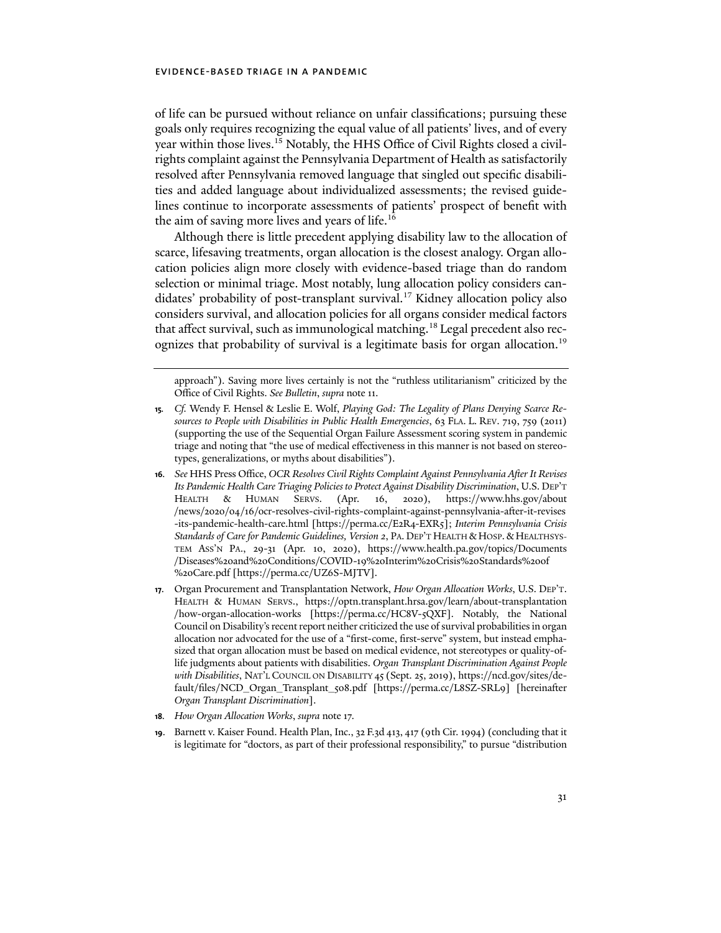of life can be pursued without reliance on unfair classifications; pursuing these goals only requires recognizing the equal value of all patients' lives, and of every year within those lives.<sup>15</sup> Notably, the HHS Office of Civil Rights closed a civilrights complaint against the Pennsylvania Department of Health as satisfactorily resolved afer Pennsylvania removed language that singled out specific disabilities and added language about individualized assessments; the revised guidelines continue to incorporate assessments of patients' prospect of benefit with the aim of saving more lives and years of life.<sup>16</sup>

Although there is little precedent applying disability law to the allocation of scarce, lifesaving treatments, organ allocation is the closest analogy. Organ allocation policies align more closely with evidence-based triage than do random selection or minimal triage. Most notably, lung allocation policy considers candidates' probability of post-transplant survival.17 Kidney allocation policy also considers survival, and allocation policies for all organs consider medical factors that affect survival, such as immunological matching.<sup>18</sup> Legal precedent also recognizes that probability of survival is a legitimate basis for organ allocation.19

approach"). Saving more lives certainly is not the "ruthless utilitarianism" criticized by the Office of Civil Rights. *See Bulletin*, *supra* note 11.

- **15***. Cf.* Wendy F. Hensel & Leslie E. Wolf, *Playing God: The Legality of Plans Denying Scarce Resources to People with Disabilities in Public Health Emergencies*, 63 FLA. L. REV. 719, 759 (2011) (supporting the use of the Sequential Organ Failure Assessment scoring system in pandemic triage and noting that "the use of medical effectiveness in this manner is not based on stereotypes, generalizations, or myths about disabilities").
- **16***. See* HHS Press Office, *OCR Resolves Civil Rights Complaint Against Pennsylvania Afer It Revises Its Pandemic Health Care Triaging Policies to Protect Against Disability Discrimination*, U.S. DEP'T HEALTH & HUMAN SERVS. (Apr. 16, 2020), [https://www.hhs.gov/about](https://www.hhs.gov/about/news/2020/04/16/ocr-resolves-civil-rights-complaint-against-pennsylvania-after-it-revises-its-pandemic-health-care.html) /news/2020/04/16[/ocr-resolves-civil-rights-complaint-against-pennsylvania-a](https://www.hhs.gov/about/news/2020/04/16/ocr-resolves-civil-rights-complaint-against-pennsylvania-after-it-revises-its-pandemic-health-care.html)fer-it-revises [-its-pandemic-health-care.html](https://www.hhs.gov/about/news/2020/04/16/ocr-resolves-civil-rights-complaint-against-pennsylvania-after-it-revises-its-pandemic-health-care.html) [[https://perma.cc/E](https://perma.cc/E2R4-EXR5])2R4-EXR5]; *Interim Pennsylvania Crisis Standards of Care for Pandemic Guidelines, Version 2*, PA. DEP'T HEALTH & HOSP. & HEALTHSYS-TEM ASS'N PA., 29-31 (Apr. 10, 2020), [https://www.health.pa.gov/topics/Documents](https://www.health.pa.gov/topics/Documents/Diseases%20and%20Conditions/COVID-19%20Interim%20Crisis%20Standards%20of%20Care.pdf) /Diseases%20and%20[Conditions/COVID-](https://www.health.pa.gov/topics/Documents/Diseases%20and%20Conditions/COVID-19%20Interim%20Crisis%20Standards%20of%20Care.pdf)19%20Interim%20Crisis%20Standards%20of %20[Care.pdf \[](https://www.health.pa.gov/topics/Documents/Diseases%20and%20Conditions/COVID-19%20Interim%20Crisis%20Standards%20of%20Care.pdf)[https://perma.cc/UZ](https://perma.cc/UZ6S-MJTV])6S-MJTV].
- **17**. Organ Procurement and Transplantation Network, *How Organ Allocation Works*, U.S. DEP'T. HEALTH & HUMAN SERVS., [https://optn.transplant.hrsa.gov/learn/about-transplantation](https://optn.transplant.hrsa.gov/learn/about-transplantation/how-organ-allocation-works) [/how-organ-allocation-works](https://optn.transplant.hrsa.gov/learn/about-transplantation/how-organ-allocation-works) [\[https://perma.cc/HC](https://perma.cc/HC8V-5QXF])8V-5QXF]. Notably, the National Council on Disability's recent report neither criticized the use of survival probabilities in organ allocation nor advocated for the use of a "first-come, first-serve" system, but instead emphasized that organ allocation must be based on medical evidence, not stereotypes or quality-oflife judgments about patients with disabilities. *Organ Transplant Discrimination Against People with Disabilities*, NAT'L COUNCIL ON DISABILITY 45 (Sept. 25, 2019), [https://ncd.gov/sites/de](https://ncd.gov/sites/default/files/NCD_Organ_Transplant_508.pdf)[fault/files/NCD\\_Organ\\_Transplant\\_](https://ncd.gov/sites/default/files/NCD_Organ_Transplant_508.pdf)508.pdf [[https://perma.cc/L](https://perma.cc/L8SZ-SRL9])8SZ-SRL9] [hereinafer *Organ Transplant Discrimination*].
- **18***. How Organ Allocation Works*, *supra* note 17*.*
- **19**. Barnett v. Kaiser Found. Health Plan, Inc., 32 F.3d 413, 417 (9th Cir. 1994) (concluding that it is legitimate for "doctors, as part of their professional responsibility," to pursue "distribution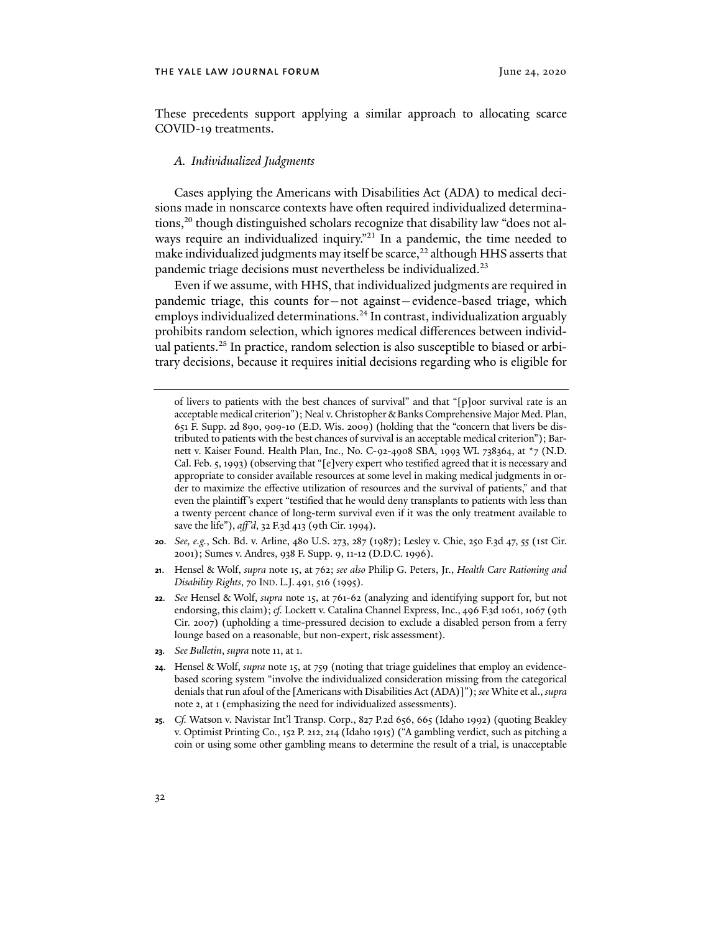These precedents support applying a similar approach to allocating scarce COVID-19 treatments.

#### *A. Individualized Judgments*

Cases applying the Americans with Disabilities Act (ADA) to medical decisions made in nonscarce contexts have often required individualized determinations,<sup>20</sup> though distinguished scholars recognize that disability law "does not always require an individualized inquiry."<sup>21</sup> In a pandemic, the time needed to make individualized judgments may itself be scarce,<sup>22</sup> although HHS asserts that pandemic triage decisions must nevertheless be individualized.23

Even if we assume, with HHS, that individualized judgments are required in pandemic triage, this counts for—not against—evidence-based triage, which employs individualized determinations.<sup>24</sup> In contrast, individualization arguably prohibits random selection, which ignores medical differences between individual patients.25 In practice, random selection is also susceptible to biased or arbitrary decisions, because it requires initial decisions regarding who is eligible for

- **20***. See, e.g.*, Sch. Bd. v. Arline, 480 U.S. 273, 287 (1987); Lesley v. Chie, 250 F.3d 47, 55 (1st Cir. 2001); Sumes v. Andres, 938 F. Supp. 9, 11-12 (D.D.C. 1996).
- **21**. Hensel & Wolf, *supra* note 15, at 762; *see also* Philip G. Peters, Jr., *Health Care Rationing and Disability Rights*, 70 IND. L.J. 491, 516 (1995).
- **22***. See* Hensel & Wolf, *supra* note 15, at 761-62 (analyzing and identifying support for, but not endorsing, this claim); *cf.* Lockett v. Catalina Channel Express, Inc., 496 F.3d 1061, 1067 (9th Cir. 2007) (upholding a time-pressured decision to exclude a disabled person from a ferry lounge based on a reasonable, but non-expert, risk assessment).
- **23***. See Bulletin*, *supra* note 11, at 1.
- **24**. Hensel & Wolf, *supra* note 15, at 759 (noting that triage guidelines that employ an evidencebased scoring system "involve the individualized consideration missing from the categorical denials that run afoul of the [Americans with Disabilities Act (ADA)]"); *see* White et al., *supra*  note 2, at 1 (emphasizing the need for individualized assessments).
- **25***. Cf.* Watson v. Navistar Int'l Transp. Corp., 827 P.2d 656, 665 (Idaho 1992) (quoting Beakley v. Optimist Printing Co., 152 P. 212, 214 (Idaho 1915) ("A gambling verdict, such as pitching a coin or using some other gambling means to determine the result of a trial, is unacceptable

of livers to patients with the best chances of survival" and that "[p]oor survival rate is an acceptable medical criterion"); Neal v. Christopher & Banks Comprehensive Major Med. Plan, 651 F. Supp. 2d 890, 909-10 (E.D. Wis. 2009) (holding that the "concern that livers be distributed to patients with the best chances of survival is an acceptable medical criterion"); Barnett v. Kaiser Found. Health Plan, Inc., No. C-92-4908 SBA, 1993 WL 738364, at \*7 (N.D. Cal. Feb. 5, 1993) (observing that "[e]very expert who testified agreed that it is necessary and appropriate to consider available resources at some level in making medical judgments in order to maximize the effective utilization of resources and the survival of patients," and that even the plaintiff's expert "testified that he would deny transplants to patients with less than a twenty percent chance of long-term survival even if it was the only treatment available to save the life"), *aff'd*, 32 F.3d 413 (9th Cir. 1994).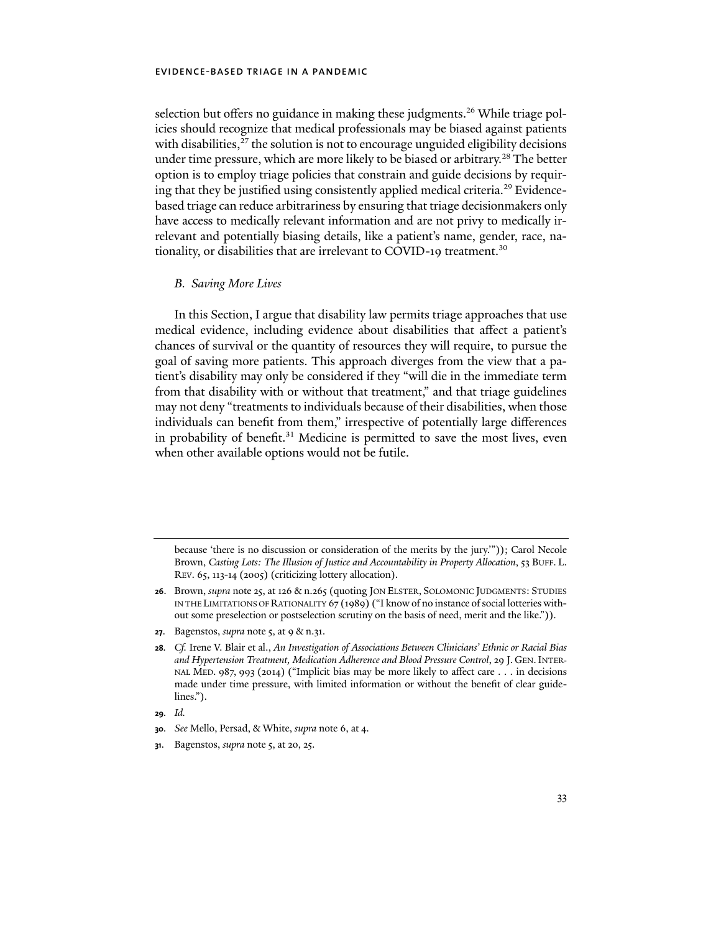selection but offers no guidance in making these judgments.<sup>26</sup> While triage policies should recognize that medical professionals may be biased against patients with disabilities, $^{27}$  the solution is not to encourage unguided eligibility decisions under time pressure, which are more likely to be biased or arbitrary.<sup>28</sup> The better option is to employ triage policies that constrain and guide decisions by requiring that they be justified using consistently applied medical criteria.<sup>29</sup> Evidencebased triage can reduce arbitrariness by ensuring that triage decisionmakers only have access to medically relevant information and are not privy to medically irrelevant and potentially biasing details, like a patient's name, gender, race, nationality, or disabilities that are irrelevant to COVID-19 treatment.<sup>30</sup>

### *B. Saving More Lives*

In this Section, I argue that disability law permits triage approaches that use medical evidence, including evidence about disabilities that affect a patient's chances of survival or the quantity of resources they will require, to pursue the goal of saving more patients. This approach diverges from the view that a patient's disability may only be considered if they "will die in the immediate term from that disability with or without that treatment," and that triage guidelines may not deny "treatments to individuals because of their disabilities, when those individuals can benefit from them," irrespective of potentially large differences in probability of benefit.<sup>31</sup> Medicine is permitted to save the most lives, even when other available options would not be futile.

**27**. Bagenstos, *supra* note 5, at 9 & n.31.

**29***. Id.*

because 'there is no discussion or consideration of the merits by the jury.'")); Carol Necole Brown, *Casting Lots: The Illusion of Justice and Accountability in Property Allocation*, 53 BUFF. L. REV. 65, 113-14 (2005) (criticizing lottery allocation).

**<sup>26</sup>**. Brown, *supra* note 25, at 126 & n.265 (quoting JON ELSTER, SOLOMONIC JUDGMENTS: STUDIES IN THE LIMITATIONS OF RATIONALITY 67 (1989) ("I know of no instance of social lotteries without some preselection or postselection scrutiny on the basis of need, merit and the like.")).

**<sup>28</sup>***. Cf.* Irene V. Blair et al., *An Investigation of Associations Between Clinicians' Ethnic or Racial Bias and Hypertension Treatment, Medication Adherence and Blood Pressure Control*, 29 J. GEN.INTER-NAL MED. 987, 993 (2014) ("Implicit bias may be more likely to affect care . . . in decisions made under time pressure, with limited information or without the benefit of clear guidelines.").

**<sup>30</sup>***. See* Mello, Persad, & White, *supra* note 6, at 4.

**<sup>31</sup>**. Bagenstos, *supra* note 5, at 20, 25.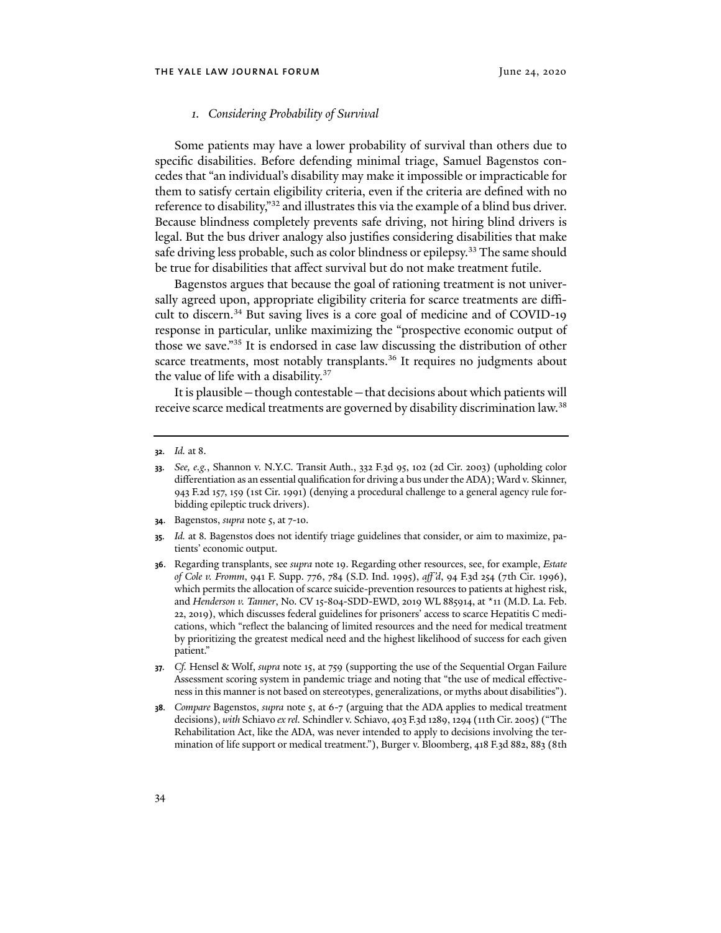#### *1. Considering Probability of Survival*

Some patients may have a lower probability of survival than others due to specific disabilities. Before defending minimal triage, Samuel Bagenstos concedes that "an individual's disability may make it impossible or impracticable for them to satisfy certain eligibility criteria, even if the criteria are defined with no reference to disability,"<sup>32</sup> and illustrates this via the example of a blind bus driver. Because blindness completely prevents safe driving, not hiring blind drivers is legal. But the bus driver analogy also justifies considering disabilities that make safe driving less probable, such as color blindness or epilepsy.<sup>33</sup> The same should be true for disabilities that affect survival but do not make treatment futile.

Bagenstos argues that because the goal of rationing treatment is not universally agreed upon, appropriate eligibility criteria for scarce treatments are difficult to discern.<sup>34</sup> But saving lives is a core goal of medicine and of COVID-19 response in particular, unlike maximizing the "prospective economic output of those we save."35 It is endorsed in case law discussing the distribution of other scarce treatments, most notably transplants.<sup>36</sup> It requires no judgments about the value of life with a disability.<sup>37</sup>

It is plausible—though contestable—that decisions about which patients will receive scarce medical treatments are governed by disability discrimination law.<sup>38</sup>

- **34**. Bagenstos, *supra* note 5, at 7-10.
- **35***. Id.* at 8*.* Bagenstos does not identify triage guidelines that consider, or aim to maximize, patients' economic output.
- **36**. Regarding transplants, see *supra* note 19. Regarding other resources, see, for example, *Estate of Cole v. Fromm*, 941 F. Supp. 776, 784 (S.D. Ind. 1995), *aff'd*, 94 F.3d 254 (7th Cir. 1996), which permits the allocation of scarce suicide-prevention resources to patients at highest risk, and *Henderson v. Tanner*, No. CV 15-804-SDD-EWD, 2019 WL 885914, at \*11 (M.D. La. Feb. 22, 2019), which discusses federal guidelines for prisoners' access to scarce Hepatitis C medications, which "reflect the balancing of limited resources and the need for medical treatment by prioritizing the greatest medical need and the highest likelihood of success for each given patient."
- **37***. Cf.* Hensel & Wolf, *supra* note 15, at 759 (supporting the use of the Sequential Organ Failure Assessment scoring system in pandemic triage and noting that "the use of medical effectiveness in this manner is not based on stereotypes, generalizations, or myths about disabilities").
- **38***. Compare* Bagenstos, *supra* note 5, at 6-7 (arguing that the ADA applies to medical treatment decisions), *with* Schiavo *ex rel.* Schindler v. Schiavo, 403 F.3d 1289, 1294 (11th Cir. 2005) ("The Rehabilitation Act, like the ADA, was never intended to apply to decisions involving the termination of life support or medical treatment."), Burger v. Bloomberg, 418 F.3d 882, 883 (8th

**<sup>32</sup>***. Id.* at 8.

**<sup>33</sup>***. See, e.g.*, Shannon v. N.Y.C. Transit Auth., 332 F.3d 95, 102 (2d Cir. 2003) (upholding color differentiation as an essential qualification for driving a bus under the ADA); Ward v. Skinner, 943 F.2d 157, 159 (1st Cir. 1991) (denying a procedural challenge to a general agency rule forbidding epileptic truck drivers).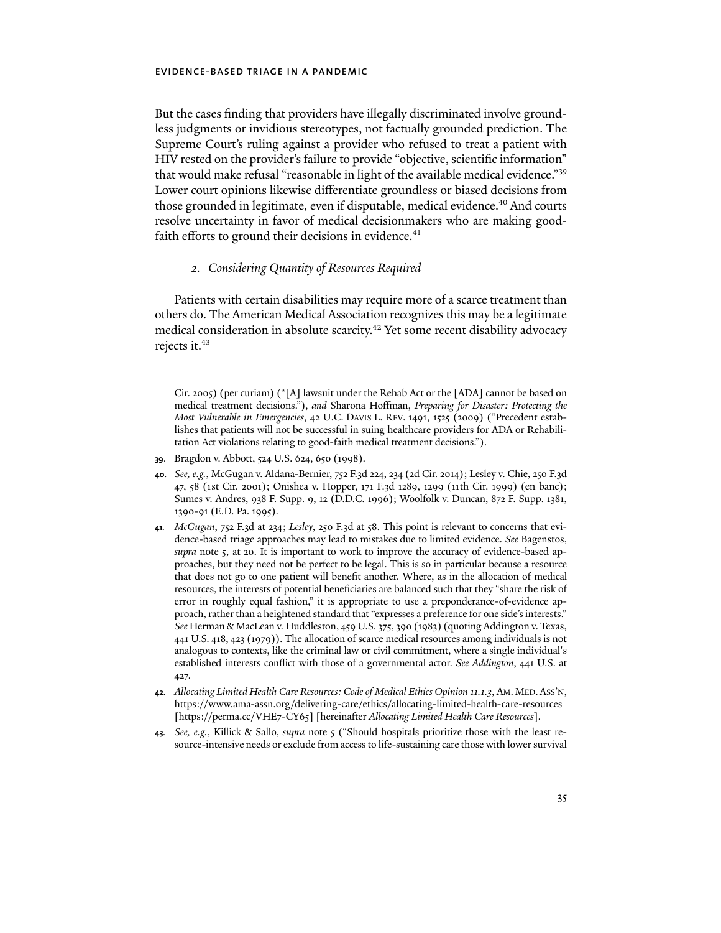But the cases finding that providers have illegally discriminated involve groundless judgments or invidious stereotypes, not factually grounded prediction. The Supreme Court's ruling against a provider who refused to treat a patient with HIV rested on the provider's failure to provide "objective, scientific information" that would make refusal "reasonable in light of the available medical evidence."39 Lower court opinions likewise differentiate groundless or biased decisions from those grounded in legitimate, even if disputable, medical evidence.<sup>40</sup> And courts resolve uncertainty in favor of medical decisionmakers who are making goodfaith efforts to ground their decisions in evidence. $41$ 

### *2. Considering Quantity of Resources Required*

Patients with certain disabilities may require more of a scarce treatment than others do. The American Medical Association recognizes this may be a legitimate medical consideration in absolute scarcity.<sup>42</sup> Yet some recent disability advocacy rejects it.<sup>43</sup>

- **39**. Bragdon v. Abbott, 524 U.S. 624, 650 (1998).
- **40***. See, e.g.*, McGugan v. Aldana-Bernier, 752 F.3d 224, 234 (2d Cir. 2014); Lesley v. Chie, 250 F.3d 47, 58 (1st Cir. 2001); Onishea v. Hopper, 171 F.3d 1289, 1299 (11th Cir. 1999) (en banc); Sumes v. Andres, 938 F. Supp. 9, 12 (D.D.C. 1996); Woolfolk v. Duncan, 872 F. Supp. 1381, 1390-91 (E.D. Pa. 1995).
- **41***. McGugan*, 752 F.3d at 234; *Lesley*, 250 F.3d at 58. This point is relevant to concerns that evidence-based triage approaches may lead to mistakes due to limited evidence. *See* Bagenstos, *supra* note 5, at 20. It is important to work to improve the accuracy of evidence-based approaches, but they need not be perfect to be legal. This is so in particular because a resource that does not go to one patient will benefit another. Where, as in the allocation of medical resources, the interests of potential beneficiaries are balanced such that they "share the risk of error in roughly equal fashion," it is appropriate to use a preponderance-of-evidence approach, rather than a heightened standard that "expresses a preference for one side's interests." *See* Herman & MacLean v. Huddleston, 459 U.S. 375, 390 (1983) (quoting Addington v. Texas, 441 U.S. 418, 423 (1979)). The allocation of scarce medical resources among individuals is not analogous to contexts, like the criminal law or civil commitment, where a single individual's established interests conflict with those of a governmental actor. *See Addington*, 441 U.S. at 427.
- **42***. Allocating Limited Health Care Resources: Code of Medical Ethics Opinion 11.1.3*, AM. MED.ASS'N, <https://www.ama-assn.org/delivering-care/ethics/allocating-limited-health-care-resources> [[https://perma.cc/VHE](https://perma.cc/VHE7-CY65])7-CY65] [hereinafer *Allocating Limited Health Care Resources*].
- **43***. See, e.g.*, Killick & Sallo, *supra* note 5 ("Should hospitals prioritize those with the least resource-intensive needs or exclude from access to life-sustaining care those with lower survival

Cir. 2005) (per curiam) ("[A] lawsuit under the Rehab Act or the [ADA] cannot be based on medical treatment decisions."), *and* Sharona Hoffman, *Preparing for Disaster: Protecting the Most Vulnerable in Emergencies*, 42 U.C. DAVIS L. REV. 1491, 1525 (2009) ("Precedent establishes that patients will not be successful in suing healthcare providers for ADA or Rehabilitation Act violations relating to good-faith medical treatment decisions.").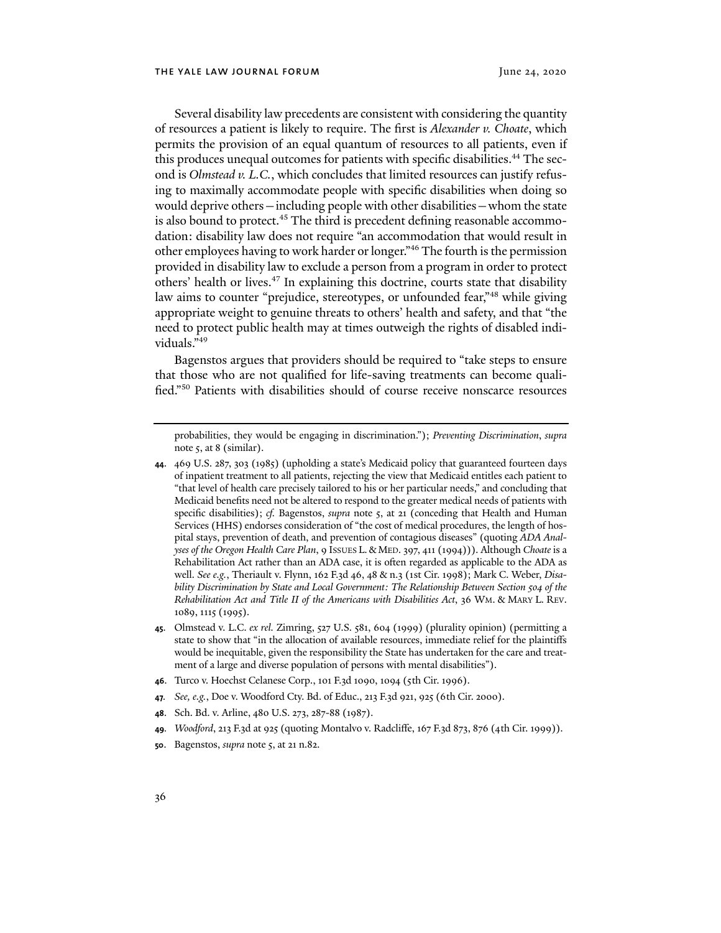Several disability law precedents are consistent with considering the quantity of resources a patient is likely to require. The first is *Alexander v. Choate*, which permits the provision of an equal quantum of resources to all patients, even if this produces unequal outcomes for patients with specific disabilities.<sup>44</sup> The second is *Olmstead v. L.C.*, which concludes that limited resources can justify refusing to maximally accommodate people with specific disabilities when doing so would deprive others—including people with other disabilities—whom the state is also bound to protect.<sup>45</sup> The third is precedent defining reasonable accommodation: disability law does not require "an accommodation that would result in other employees having to work harder or longer."46 The fourth is the permission provided in disability law to exclude a person from a program in order to protect others' health or lives.<sup>47</sup> In explaining this doctrine, courts state that disability law aims to counter "prejudice, stereotypes, or unfounded fear,"48 while giving appropriate weight to genuine threats to others' health and safety, and that "the need to protect public health may at times outweigh the rights of disabled individuals."49

Bagenstos argues that providers should be required to "take steps to ensure that those who are not qualified for life-saving treatments can become qualified."50 Patients with disabilities should of course receive nonscarce resources

probabilities, they would be engaging in discrimination."); *Preventing Discrimination*, *supra*  note 5, at 8 (similar).

- **44**. 469 U.S. 287, 303 (1985) (upholding a state's Medicaid policy that guaranteed fourteen days of inpatient treatment to all patients, rejecting the view that Medicaid entitles each patient to "that level of health care precisely tailored to his or her particular needs," and concluding that Medicaid benefits need not be altered to respond to the greater medical needs of patients with specific disabilities); *cf.* Bagenstos, *supra* note 5, at 21 (conceding that Health and Human Services (HHS) endorses consideration of "the cost of medical procedures, the length of hospital stays, prevention of death, and prevention of contagious diseases" (quoting *ADA Analyses of the Oregon Health Care Plan*, 9 ISSUES L.& MED. 397, 411 (1994))). Although *Choate* is a Rehabilitation Act rather than an ADA case, it is ofen regarded as applicable to the ADA as well. *See e.g.*, Theriault v. Flynn, 162 F.3d 46, 48 & n.3 (1st Cir. 1998); Mark C. Weber, *Disability Discrimination by State and Local Government: The Relationship Between Section 504 of the Rehabilitation Act and Title II of the Americans with Disabilities Act*, 36 WM. & MARY L. REV. 1089, 1115 (1995).
- **45**. Olmstead v. L.C. *ex rel.* Zimring, 527 U.S. 581, 604 (1999) (plurality opinion) (permitting a state to show that "in the allocation of available resources, immediate relief for the plaintiffs would be inequitable, given the responsibility the State has undertaken for the care and treatment of a large and diverse population of persons with mental disabilities").
- **46**. Turco v. Hoechst Celanese Corp., 101 F.3d 1090, 1094 (5th Cir. 1996).
- **47***. See, e.g.*, Doe v. Woodford Cty. Bd. of Educ., 213 F.3d 921, 925 (6th Cir. 2000).
- **48**. Sch. Bd. v. Arline, 480 U.S. 273, 287-88 (1987).
- **49***. Woodford*, 213 F.3d at 925 (quoting Montalvo v. Radcliffe, 167 F.3d 873, 876 (4th Cir. 1999)).
- **50**. Bagenstos, *supra* note 5, at 21 n.82.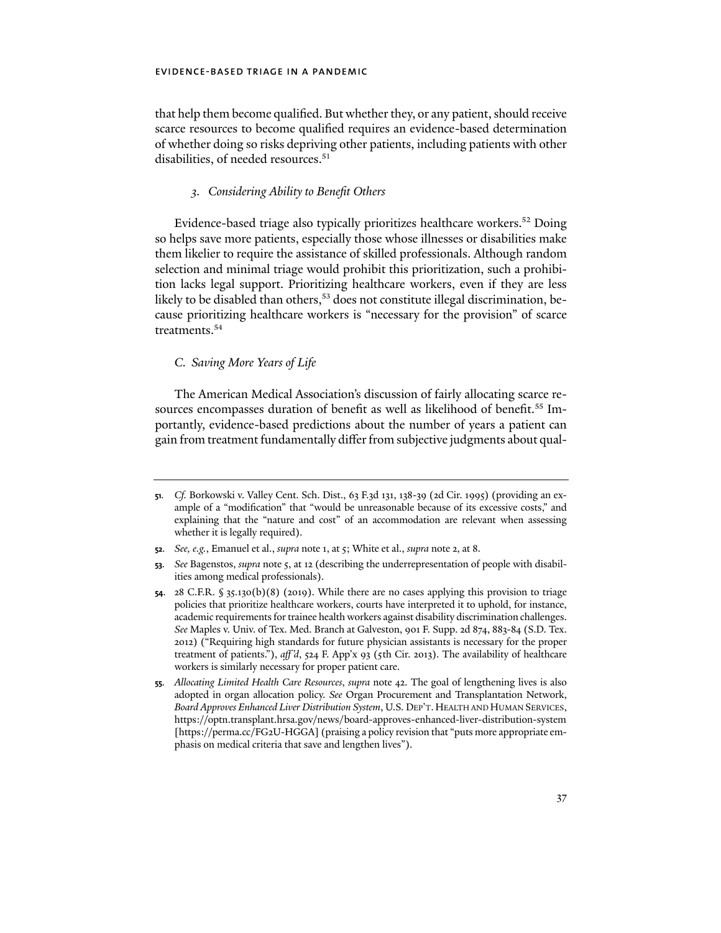that help them become qualified. But whether they, or any patient, should receive scarce resources to become qualified requires an evidence-based determination of whether doing so risks depriving other patients, including patients with other disabilities, of needed resources.<sup>51</sup>

#### *3. Considering Ability to Benefit Others*

Evidence-based triage also typically prioritizes healthcare workers.52 Doing so helps save more patients, especially those whose illnesses or disabilities make them likelier to require the assistance of skilled professionals. Although random selection and minimal triage would prohibit this prioritization, such a prohibition lacks legal support. Prioritizing healthcare workers, even if they are less likely to be disabled than others,<sup>53</sup> does not constitute illegal discrimination, because prioritizing healthcare workers is "necessary for the provision" of scarce treatments.<sup>54</sup>

## *C. Saving More Years of Life*

The American Medical Association's discussion of fairly allocating scarce resources encompasses duration of benefit as well as likelihood of benefit.<sup>55</sup> Importantly, evidence-based predictions about the number of years a patient can gain from treatment fundamentally differ from subjective judgments about qual-

**<sup>51</sup>***. Cf.* Borkowski v. Valley Cent. Sch. Dist., 63 F.3d 131, 138-39 (2d Cir. 1995) (providing an example of a "modification" that "would be unreasonable because of its excessive costs," and explaining that the "nature and cost" of an accommodation are relevant when assessing whether it is legally required).

**<sup>52</sup>***. See, e.g.*, Emanuel et al., *supra* note 1, at 5; White et al., *supra* note 2, at 8.

**<sup>53</sup>***. See* Bagenstos, *supra* note 5, at 12 (describing the underrepresentation of people with disabilities among medical professionals).

**<sup>54</sup>**. 28 C.F.R. § 35.130(b)(8) (2019). While there are no cases applying this provision to triage policies that prioritize healthcare workers, courts have interpreted it to uphold, for instance, academic requirements for trainee health workers against disability discrimination challenges. *See* Maples v. Univ. of Tex. Med. Branch at Galveston, 901 F. Supp. 2d 874, 883-84 (S.D. Tex. 2012) ("Requiring high standards for future physician assistants is necessary for the proper treatment of patients."), *aff'd*, 524 F. App'x 93 (5th Cir. 2013). The availability of healthcare workers is similarly necessary for proper patient care.

**<sup>55</sup>***. Allocating Limited Health Care Resources*, *supra* note 42. The goal of lengthening lives is also adopted in organ allocation policy. *See* Organ Procurement and Transplantation Network, *Board Approves Enhanced Liver Distribution System*, U.S. DEP'T.HEALTH AND HUMAN SERVICES, <https://optn.transplant.hrsa.gov/news/board-approves-enhanced-liver-distribution-system> [[https://perma.cc/FG](https://perma.cc/FG2U-HGGA])2U-HGGA] (praising a policy revision that "puts more appropriate emphasis on medical criteria that save and lengthen lives").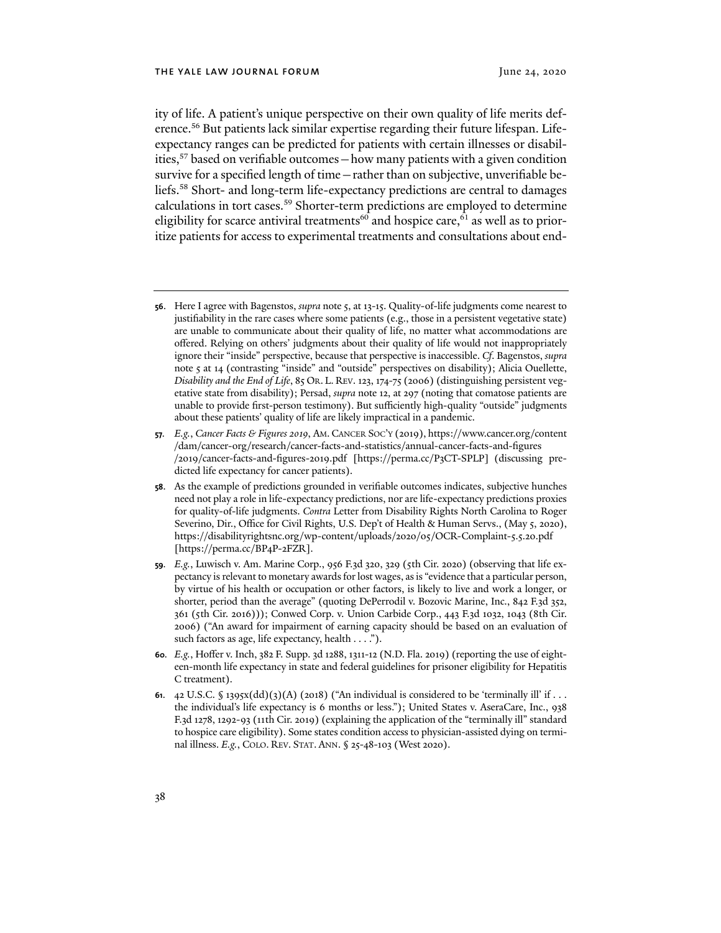ity of life. A patient's unique perspective on their own quality of life merits deference.56 But patients lack similar expertise regarding their future lifespan. Lifeexpectancy ranges can be predicted for patients with certain illnesses or disabilities,57 based on verifiable outcomes—how many patients with a given condition survive for a specified length of time—rather than on subjective, unverifiable beliefs.58 Short- and long-term life-expectancy predictions are central to damages calculations in tort cases.<sup>59</sup> Shorter-term predictions are employed to determine eligibility for scarce antiviral treatments<sup>60</sup> and hospice care,  $\overline{61}$  as well as to prioritize patients for access to experimental treatments and consultations about end-

**<sup>56</sup>**. Here I agree with Bagenstos, *supra* note 5, at 13-15. Quality-of-life judgments come nearest to justifiability in the rare cases where some patients (e.g., those in a persistent vegetative state) are unable to communicate about their quality of life, no matter what accommodations are offered. Relying on others' judgments about their quality of life would not inappropriately ignore their "inside" perspective, because that perspective is inaccessible. *Cf*. Bagenstos, *supra* note 5 at 14 (contrasting "inside" and "outside" perspectives on disability); Alicia Ouellette, *Disability and the End of Life*, 85 OR. L. REV. 123, 174-75 (2006) (distinguishing persistent vegetative state from disability); Persad, *supra* note 12, at 297 (noting that comatose patients are unable to provide first-person testimony). But sufficiently high-quality "outside" judgments about these patients' quality of life are likely impractical in a pandemic.

**<sup>57</sup>***. E.g.*, *Cancer Facts & Figures 2019*, AM. CANCER SOC'Y (2019), [https://www.cancer.org/content](https://www.cancer.org/content/dam/cancer-org/research/cancer-facts-and-statistics/annual-cancer-facts-and-figures/2019/cancer-facts-and-figures-2019.pdf) [/dam/cancer-org/research/cancer-facts-and-statistics/annual-cancer-facts-and-figures](https://www.cancer.org/content/dam/cancer-org/research/cancer-facts-and-statistics/annual-cancer-facts-and-figures/2019/cancer-facts-and-figures-2019.pdf) /2019[/cancer-facts-and-figures-](https://www.cancer.org/content/dam/cancer-org/research/cancer-facts-and-statistics/annual-cancer-facts-and-figures/2019/cancer-facts-and-figures-2019.pdf)2019.pdf [[https://perma.cc/P](https://perma.cc/P3CT-SPLP])3CT-SPLP] (discussing predicted life expectancy for cancer patients).

**<sup>58</sup>**. As the example of predictions grounded in verifiable outcomes indicates, subjective hunches need not play a role in life-expectancy predictions, nor are life-expectancy predictions proxies for quality-of-life judgments. *Contra* Letter from Disability Rights North Carolina to Roger Severino, Dir., Office for Civil Rights, U.S. Dep't of Health & Human Servs., (May 5, 2020), [https://disabilityrightsnc.org/wp-content/uploads/](https://disabilityrightsnc.org/wp-content/uploads/2020/05/OCR-Complaint-5.5.20.pdf)2020/05/OCR-Complaint-5.5.20.pdf [[https://perma.cc/BP](https://perma.cc/BP4P-2FZR])4P-2FZR].

**<sup>59</sup>***. E.g.*, Luwisch v. Am. Marine Corp., 956 F.3d 320, 329 (5th Cir. 2020) (observing that life expectancy is relevant to monetary awards for lost wages, as is "evidence that a particular person, by virtue of his health or occupation or other factors, is likely to live and work a longer, or shorter, period than the average" (quoting DePerrodil v. Bozovic Marine, Inc., 842 F.3d 352, 361 (5th Cir. 2016))); Conwed Corp. v. Union Carbide Corp., 443 F.3d 1032, 1043 (8th Cir. 2006) ("An award for impairment of earning capacity should be based on an evaluation of such factors as age, life expectancy, health . . . .").

**<sup>60</sup>***. E.g.*, Hoffer v. Inch, 382 F. Supp. 3d 1288, 1311-12 (N.D. Fla. 2019) (reporting the use of eighteen-month life expectancy in state and federal guidelines for prisoner eligibility for Hepatitis C treatment).

**<sup>61</sup>**. 42 U.S.C. § 1395x(dd)(3)(A) (2018) ("An individual is considered to be 'terminally ill' if . . . the individual's life expectancy is 6 months or less."); United States v. AseraCare, Inc., 938 F.3d 1278, 1292-93 (11th Cir. 2019) (explaining the application of the "terminally ill" standard to hospice care eligibility). Some states condition access to physician-assisted dying on terminal illness. *E.g.*, COLO. REV. STAT. ANN. § 25-48-103 (West 2020).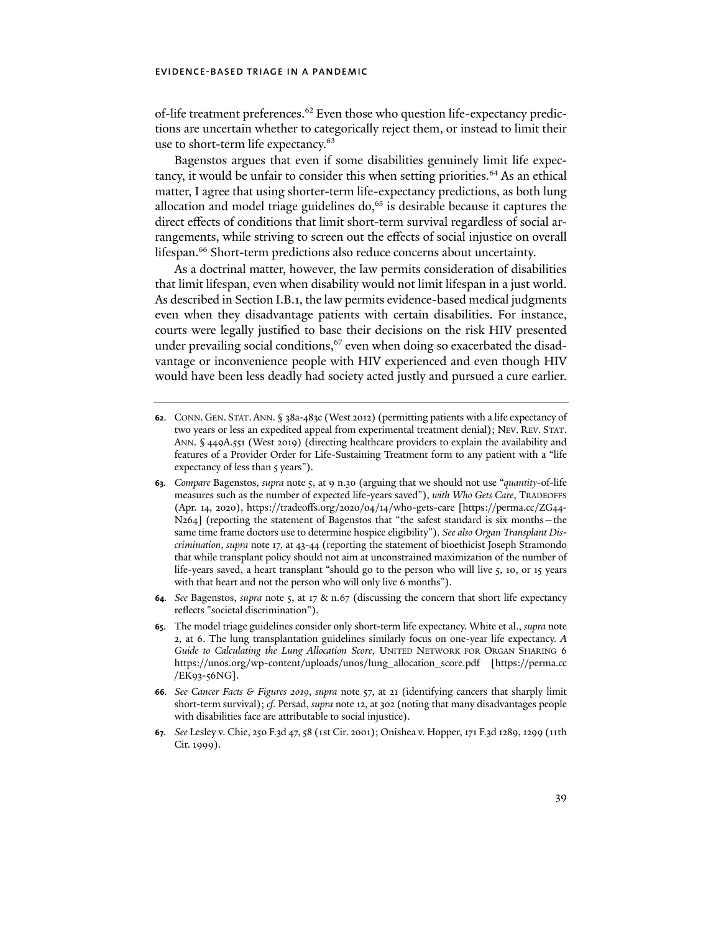of-life treatment preferences.62 Even those who question life-expectancy predictions are uncertain whether to categorically reject them, or instead to limit their use to short-term life expectancy.<sup>63</sup>

Bagenstos argues that even if some disabilities genuinely limit life expectancy, it would be unfair to consider this when setting priorities.64 As an ethical matter, I agree that using shorter-term life-expectancy predictions, as both lung allocation and model triage guidelines do, $65$  is desirable because it captures the direct effects of conditions that limit short-term survival regardless of social arrangements, while striving to screen out the effects of social injustice on overall lifespan.<sup>66</sup> Short-term predictions also reduce concerns about uncertainty.

As a doctrinal matter, however, the law permits consideration of disabilities that limit lifespan, even when disability would not limit lifespan in a just world. As described in Section I.B.1, the law permits evidence-based medical judgments even when they disadvantage patients with certain disabilities. For instance, courts were legally justified to base their decisions on the risk HIV presented under prevailing social conditions,  $67$  even when doing so exacerbated the disadvantage or inconvenience people with HIV experienced and even though HIV would have been less deadly had society acted justly and pursued a cure earlier.

- **62**. CONN. GEN. STAT.ANN. § 38a-483c (West 2012) (permitting patients with a life expectancy of two years or less an expedited appeal from experimental treatment denial); NEV. REV. STAT. ANN. § 449A.551 (West 2019) (directing healthcare providers to explain the availability and features of a Provider Order for Life-Sustaining Treatment form to any patient with a "life expectancy of less than 5 years").
- **63***. Compare* Bagenstos, *supra* note 5, at 9 n.30 (arguing that we should not use "*quantity*-of-life measures such as the number of expected life-years saved"), *with Who Gets Care*, TRADEOFFS (Apr. 14, 2020), https://tradeoffs.org/2020/04/14[/who-gets-care \[](https://tradeoffs.org/2020/04/14/who-gets-care)[https://perma.cc/ZG](https://perma.cc/ZG44-N264])44- N[264](https://perma.cc/ZG44-N264])] (reporting the statement of Bagenstos that "the safest standard is six months – the same time frame doctors use to determine hospice eligibility"). *See also Organ Transplant Discrimination*, *supra* note 17, at 43-44 (reporting the statement of bioethicist Joseph Stramondo that while transplant policy should not aim at unconstrained maximization of the number of life-years saved, a heart transplant "should go to the person who will live 5, 10, or 15 years with that heart and not the person who will only live 6 months").
- **64***. See* Bagenstos, *supra* note 5, at 17 & n.67 (discussing the concern that short life expectancy reflects "societal discrimination").
- **65**. The model triage guidelines consider only short-term life expectancy. White et al., *supra* note 2, at 6. The lung transplantation guidelines similarly focus on one-year life expectancy. *A Guide to Calculating the Lung Allocation Score*, UNITED NETWORK FOR ORGAN SHARING 6 [https://unos.org/wp-content/uploads/unos/lung\\_allocation\\_score.pdf](https://unos.org/wp-content/uploads/unos/lung_allocation_score.pdf) [[https://perma.cc](https://perma.cc/EK93-56NG]) /EK93-56[NG\].](https://perma.cc/EK93-56NG])
- **66***. See Cancer Facts & Figures 2019*, *supra* note 57, at 21 (identifying cancers that sharply limit short-term survival); *cf.* Persad, *supra* note 12, at 302 (noting that many disadvantages people with disabilities face are attributable to social injustice).
- **67***. See* Lesley v. Chie, 250 F.3d 47, 58 (1st Cir. 2001); Onishea v. Hopper, 171 F.3d 1289, 1299 (11th Cir. 1999).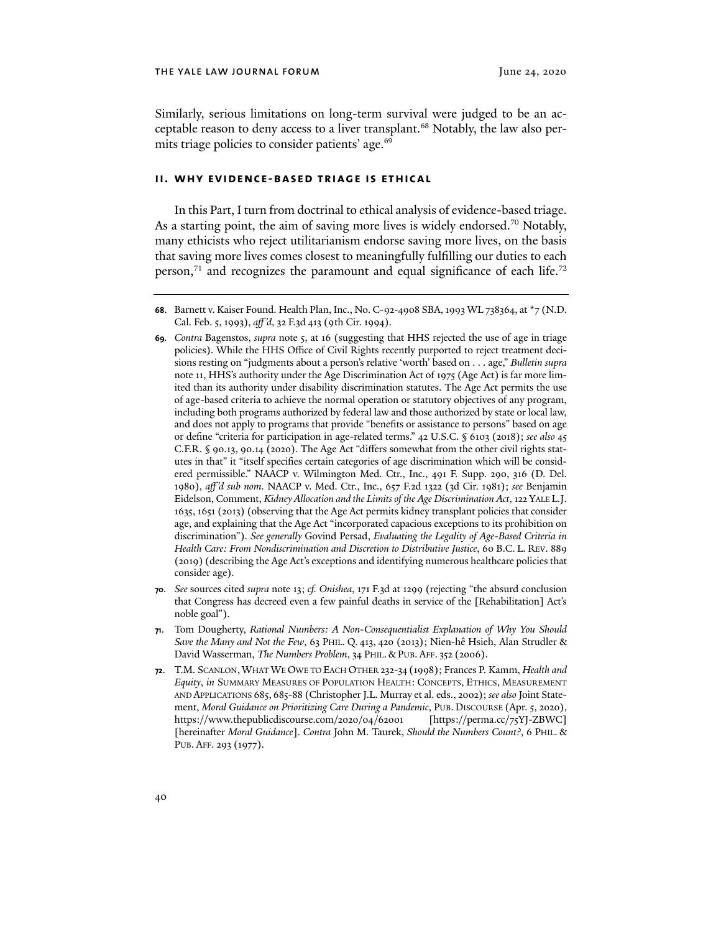Similarly, serious limitations on long-term survival were judged to be an acceptable reason to deny access to a liver transplant.<sup>68</sup> Notably, the law also permits triage policies to consider patients' age.<sup>69</sup>

#### **ii. why evidence-based triage is ethical**

In this Part, I turn from doctrinal to ethical analysis of evidence-based triage. As a starting point, the aim of saving more lives is widely endorsed.<sup>70</sup> Notably, many ethicists who reject utilitarianism endorse saving more lives, on the basis that saving more lives comes closest to meaningfully fulfilling our duties to each person, $71$  and recognizes the paramount and equal significance of each life. $72$ 

- **70***. See* sources cited *supra* note 13; *cf. Onishea*, 171 F.3d at 1299 (rejecting "the absurd conclusion that Congress has decreed even a few painful deaths in service of the [Rehabilitation] Act's noble goal").
- **71**. Tom Dougherty, *Rational Numbers: A Non-Consequentialist Explanation of Why You Should Save the Many and Not the Few*, 63 PHIL. Q. 413, 420 (2013); Nien-hê Hsieh, Alan Strudler & David Wasserman, *The Numbers Problem*, 34 PHIL. & PUB. AFF. 352 (2006).
- **72**. T.M. SCANLON,WHAT WE OWE TO EACH OTHER 232-34 (1998); Frances P. Kamm, *Health and Equity*, *in* SUMMARY MEASURES OF POPULATION HEALTH: CONCEPTS, ETHICS, MEASUREMENT AND APPLICATIONS 685, 685-88 (Christopher J.L. Murray et al. eds., 2002); *see also* Joint Statement, *Moral Guidance on Prioritizing Care During a Pandemic*, PUB. DISCOURSE (Apr. 5, 2020), [https://www.thepublicdiscourse.com/](https://www.thepublicdiscourse.com/2020/04/62001)2020/04/62001 [\[https://perma.cc/](https://perma.cc/75YJ-ZBWC])75YJ-ZBWC] [hereinafer *Moral Guidance*]. *Contra* John M. Taurek, *Should the Numbers Count?*, 6 PHIL. & PUB. AFF. 293 (1977).

**<sup>68</sup>**. Barnett v. Kaiser Found. Health Plan, Inc., No. C-92-4908 SBA, 1993 WL 738364, at \*7 (N.D. Cal. Feb. 5, 1993), *aff'd*, 32 F.3d 413 (9th Cir. 1994).

**<sup>69</sup>***. Contra* Bagenstos, *supra* note 5, at 16 (suggesting that HHS rejected the use of age in triage policies). While the HHS Office of Civil Rights recently purported to reject treatment decisions resting on "judgments about a person's relative 'worth' based on . . . age," *Bulletin supra*  note 11, HHS's authority under the Age Discrimination Act of 1975 (Age Act) is far more limited than its authority under disability discrimination statutes. The Age Act permits the use of age-based criteria to achieve the normal operation or statutory objectives of any program, including both programs authorized by federal law and those authorized by state or local law, and does not apply to programs that provide "benefits or assistance to persons" based on age or define "criteria for participation in age-related terms." 42 U.S.C. § 6103 (2018); *see also* 45 C.F.R. § 90.13, 90.14 (2020). The Age Act "differs somewhat from the other civil rights statutes in that" it "itself specifies certain categories of age discrimination which will be considered permissible." NAACP v. Wilmington Med. Ctr., Inc., 491 F. Supp. 290, 316 (D. Del. 1980), *aff'd sub nom*. NAACP v. Med. Ctr., Inc., 657 F.2d 1322 (3d Cir. 1981); *see* Benjamin Eidelson, Comment, *Kidney Allocation and the Limits of the Age Discrimination Act*, 122 YALE L.J. 1635, 1651 (2013) (observing that the Age Act permits kidney transplant policies that consider age, and explaining that the Age Act "incorporated capacious exceptions to its prohibition on discrimination"). *See generally* Govind Persad, *Evaluating the Legality of Age-Based Criteria in Health Care: From Nondiscrimination and Discretion to Distributive Justice*, 60 B.C. L. REV. 889 (2019) (describing the Age Act's exceptions and identifying numerous healthcare policies that consider age).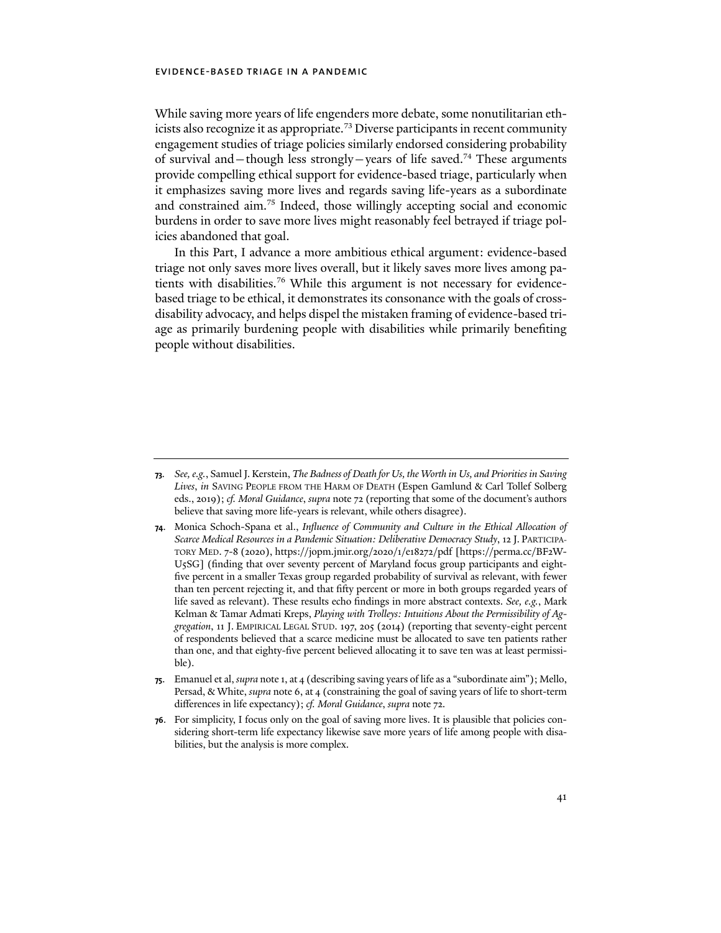While saving more years of life engenders more debate, some nonutilitarian ethicists also recognize it as appropriate.<sup>73</sup> Diverse participants in recent community engagement studies of triage policies similarly endorsed considering probability of survival and—though less strongly—years of life saved.<sup>74</sup> These arguments provide compelling ethical support for evidence-based triage, particularly when it emphasizes saving more lives and regards saving life-years as a subordinate and constrained aim.75 Indeed, those willingly accepting social and economic burdens in order to save more lives might reasonably feel betrayed if triage policies abandoned that goal.

In this Part, I advance a more ambitious ethical argument: evidence-based triage not only saves more lives overall, but it likely saves more lives among patients with disabilities.76 While this argument is not necessary for evidencebased triage to be ethical, it demonstrates its consonance with the goals of crossdisability advocacy, and helps dispel the mistaken framing of evidence-based triage as primarily burdening people with disabilities while primarily benefiting people without disabilities.

- **74**. Monica Schoch-Spana et al., *Influence of Community and Culture in the Ethical Allocation of Scarce Medical Resources in a Pandemic Situation: Deliberative Democracy Study*, 12 J. PARTICIPA-TORY MED. 7-8 (2020), [https://jopm.jmir.org/](https://jopm.jmir.org/2020/1/e18272/pdf)2020/1/e18272/pdf [[https://perma.cc/BF](https://perma.cc/BF2W-U5SG])2W-U5[SG\] \(](https://perma.cc/BF2W-U5SG])finding that over seventy percent of Maryland focus group participants and eightfive percent in a smaller Texas group regarded probability of survival as relevant, with fewer than ten percent rejecting it, and that fify percent or more in both groups regarded years of life saved as relevant). These results echo findings in more abstract contexts. *See, e.g.*, Mark Kelman & Tamar Admati Kreps, *Playing with Trolleys: Intuitions About the Permissibility of Aggregation*, 11 J. EMPIRICAL LEGAL STUD. 197, 205 (2014) (reporting that seventy-eight percent of respondents believed that a scarce medicine must be allocated to save ten patients rather than one, and that eighty-five percent believed allocating it to save ten was at least permissible).
- **75**. Emanuel et al, *supra* note 1, at 4 (describing saving years of life as a "subordinate aim"); Mello, Persad, & White, *supra* note 6, at 4 (constraining the goal of saving years of life to short-term differences in life expectancy); *cf. Moral Guidance*, *supra* note 72.
- **76**. For simplicity, I focus only on the goal of saving more lives. It is plausible that policies considering short-term life expectancy likewise save more years of life among people with disabilities, but the analysis is more complex.

**<sup>73</sup>***. See, e.g.*, Samuel J. Kerstein, *The Badness of Death for Us, the Worth in Us, and Priorities in Saving Lives*, *in* SAVING PEOPLE FROM THE HARM OF DEATH (Espen Gamlund & Carl Tollef Solberg eds., 2019); *cf. Moral Guidance*, *supra* note 72 (reporting that some of the document's authors believe that saving more life-years is relevant, while others disagree).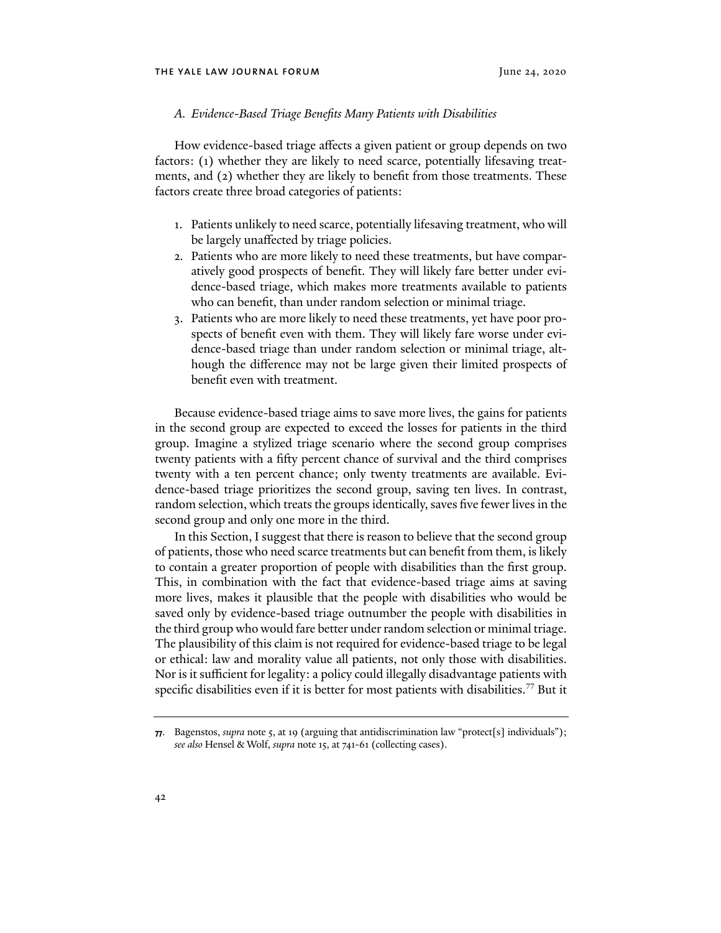#### *A. Evidence-Based Triage Benefits Many Patients with Disabilities*

How evidence-based triage affects a given patient or group depends on two factors: (1) whether they are likely to need scarce, potentially lifesaving treatments, and (2) whether they are likely to benefit from those treatments. These factors create three broad categories of patients:

- 1. Patients unlikely to need scarce, potentially lifesaving treatment, who will be largely unaffected by triage policies.
- 2. Patients who are more likely to need these treatments, but have comparatively good prospects of benefit. They will likely fare better under evidence-based triage, which makes more treatments available to patients who can benefit, than under random selection or minimal triage.
- 3. Patients who are more likely to need these treatments, yet have poor prospects of benefit even with them. They will likely fare worse under evidence-based triage than under random selection or minimal triage, although the difference may not be large given their limited prospects of benefit even with treatment.

Because evidence-based triage aims to save more lives, the gains for patients in the second group are expected to exceed the losses for patients in the third group. Imagine a stylized triage scenario where the second group comprises twenty patients with a fify percent chance of survival and the third comprises twenty with a ten percent chance; only twenty treatments are available. Evidence-based triage prioritizes the second group, saving ten lives. In contrast, random selection, which treats the groups identically, saves five fewer lives in the second group and only one more in the third.

In this Section, I suggest that there is reason to believe that the second group of patients, those who need scarce treatments but can benefit from them, is likely to contain a greater proportion of people with disabilities than the first group. This, in combination with the fact that evidence-based triage aims at saving more lives, makes it plausible that the people with disabilities who would be saved only by evidence-based triage outnumber the people with disabilities in the third group who would fare better underrandom selection or minimal triage. The plausibility of this claim is not required for evidence-based triage to be legal or ethical: law and morality value all patients, not only those with disabilities. Nor is it sufficient for legality: a policy could illegally disadvantage patients with specific disabilities even if it is better for most patients with disabilities.<sup>77</sup> But it

**<sup>77</sup>**. Bagenstos, *supra* note 5, at 19 (arguing that antidiscrimination law "protect[s] individuals"); *see also* Hensel & Wolf, *supra* note 15, at 741-61 (collecting cases).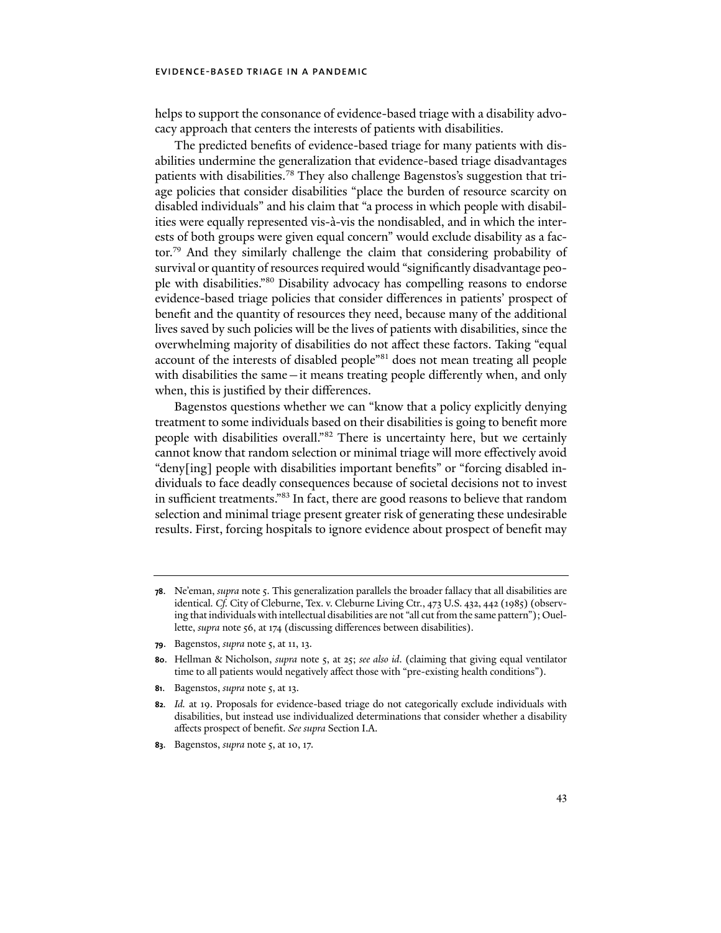helps to support the consonance of evidence-based triage with a disability advocacy approach that centers the interests of patients with disabilities.

The predicted benefits of evidence-based triage for many patients with disabilities undermine the generalization that evidence-based triage disadvantages patients with disabilities.78 They also challenge Bagenstos's suggestion that triage policies that consider disabilities "place the burden of resource scarcity on disabled individuals" and his claim that "a process in which people with disabilities were equally represented vis-à-vis the nondisabled, and in which the interests of both groups were given equal concern" would exclude disability as a factor.79 And they similarly challenge the claim that considering probability of survival or quantity of resources required would "significantly disadvantage people with disabilities."80 Disability advocacy has compelling reasons to endorse evidence-based triage policies that consider differences in patients' prospect of benefit and the quantity of resources they need, because many of the additional lives saved by such policies will be the lives of patients with disabilities, since the overwhelming majority of disabilities do not affect these factors. Taking "equal account of the interests of disabled people"81 does not mean treating all people with disabilities the same—it means treating people differently when, and only when, this is justified by their differences.

Bagenstos questions whether we can "know that a policy explicitly denying treatment to some individuals based on their disabilities is going to benefit more people with disabilities overall."82 There is uncertainty here, but we certainly cannot know that random selection or minimal triage will more effectively avoid "deny[ing] people with disabilities important benefits" or "forcing disabled individuals to face deadly consequences because of societal decisions not to invest in sufficient treatments."83 In fact, there are good reasons to believe that random selection and minimal triage present greater risk of generating these undesirable results. First, forcing hospitals to ignore evidence about prospect of benefit may

- **79**. Bagenstos, *supra* note 5, at 11, 13.
- **80**. Hellman & Nicholson, *supra* note 5, at 25; *see also id*. (claiming that giving equal ventilator time to all patients would negatively affect those with "pre-existing health conditions").
- **81**. Bagenstos, *supra* note 5, at 13.
- **82***. Id.* at 19. Proposals for evidence-based triage do not categorically exclude individuals with disabilities, but instead use individualized determinations that consider whether a disability affects prospect of benefit. *See supra* Section I.A.
- **83**. Bagenstos, *supra* note 5, at 10, 17.

**<sup>78</sup>**. Ne'eman, *supra* note 5. This generalization parallels the broader fallacy that all disabilities are identical. Cf. City of Cleburne, Tex. v. Cleburne Living Ctr., 473 U.S. 432, 442 (1985) (observing that individuals with intellectual disabilities are not "all cut from the same pattern"); Ouellette, *supra* note 56, at 174 (discussing differences between disabilities).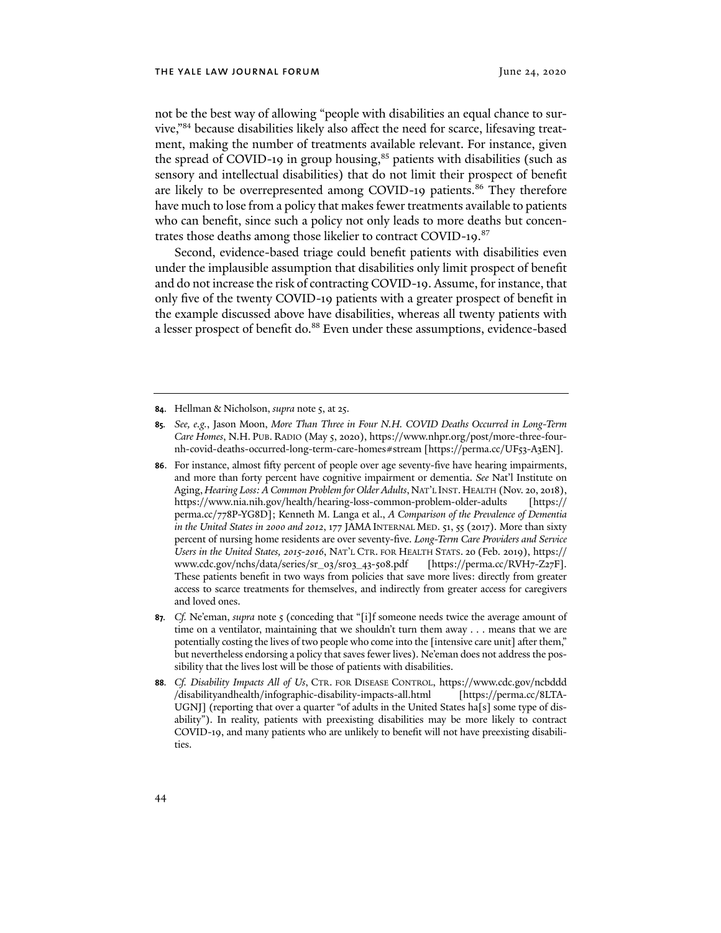not be the best way of allowing "people with disabilities an equal chance to survive,"84 because disabilities likely also affect the need for scarce, lifesaving treatment, making the number of treatments available relevant. For instance, given the spread of COVID-19 in group housing, $85$  patients with disabilities (such as sensory and intellectual disabilities) that do not limit their prospect of benefit are likely to be overrepresented among COVID-19 patients.<sup>86</sup> They therefore have much to lose from a policy that makes fewer treatments available to patients who can benefit, since such a policy not only leads to more deaths but concentrates those deaths among those likelier to contract COVID-19.<sup>87</sup>

Second, evidence-based triage could benefit patients with disabilities even under the implausible assumption that disabilities only limit prospect of benefit and do not increase the risk of contracting COVID-19. Assume, for instance, that only five of the twenty COVID-19 patients with a greater prospect of benefit in the example discussed above have disabilities, whereas all twenty patients with a lesser prospect of benefit do. <sup>88</sup> Even under these assumptions, evidence-based

- **85***. See, e.g.*, Jason Moon, *More Than Three in Four N.H. COVID Deaths Occurred in Long-Term Care Homes*, N.H. PUB. RADIO (May 5, 2020), [https://www.nhpr.org/post/more-three-four](https://www.nhpr.org/post/more-three-four-nh-covid-deaths-occurred-long-term-care-homes%23stream)[nh-covid-deaths-occurred-long-term-care-homes#stream](https://www.nhpr.org/post/more-three-four-nh-covid-deaths-occurred-long-term-care-homes%23stream) [[https://perma.cc/UF](https://perma.cc/UF53-A3EN])53-A3EN].
- **86**. For instance, almost fify percent of people over age seventy-five have hearing impairments, and more than forty percent have cognitive impairment or dementia. *See* Nat'l Institute on Aging, Hearing Loss: A Common Problem for Older Adults, NAT'L INST. HEALTH (Nov. 20, 2018), <https://www.nia.nih.gov/health/hearing-loss-common-problem-older-adults>[[https://](https://perma.cc/778P-YG8D]) [perma.cc/](https://perma.cc/778P-YG8D])778P-YG8D]; Kenneth M. Langa et al., *A Comparison of the Prevalence of Dementia in the United States in 2000 and 2012*, 177 JAMA INTERNAL MED. 51, 55 (2017). More than sixty percent of nursing home residents are over seventy-five. *Long-Term Care Providers and Service Users in the United States, 2015-2016*, NAT'L CTR. FOR HEALTH STATS. 20 (Feb. 2019), [https://](https://www.cdc.gov/nchs/data/series/sr_03/sr03_43-508.pdf) [www.cdc.gov/nchs/data/series/sr\\_](https://www.cdc.gov/nchs/data/series/sr_03/sr03_43-508.pdf)03/sr03\_43-508.pdf These patients benefit in two ways from policies that save more lives: directly from greater access to scarce treatments for themselves, and indirectly from greater access for caregivers and loved ones.
- **87***. Cf.* Ne'eman, *supra* note 5 (conceding that "[i]f someone needs twice the average amount of time on a ventilator, maintaining that we shouldn't turn them away . . . means that we are potentially costing the lives of two people who come into the [intensive care unit] after them," but nevertheless endorsing a policy that saves fewer lives). Ne'eman does not address the possibility that the lives lost will be those of patients with disabilities.
- **88***. Cf. Disability Impacts All of Us*, CTR. FOR DISEASE CONTROL, [https://www.cdc.gov/ncbddd](https://www.cdc.gov/ncbddd/disabilityandhealth/infographic-disability-impacts-all.html) [/disabilityandhealth/infographic-disability-impacts-all.html](https://www.cdc.gov/ncbddd/disabilityandhealth/infographic-disability-impacts-all.html) [\[https://perma.cc/](https://perma.cc/8LTA-UGNJ])8LTA-[UGNJ\]](https://perma.cc/8LTA-UGNJ]) (reporting that over a quarter "of adults in the United States ha[s] some type of disability"). In reality, patients with preexisting disabilities may be more likely to contract COVID-19, and many patients who are unlikely to benefit will not have preexisting disabilities.

**<sup>84</sup>**. Hellman & Nicholson, *supra* note 5, at 25.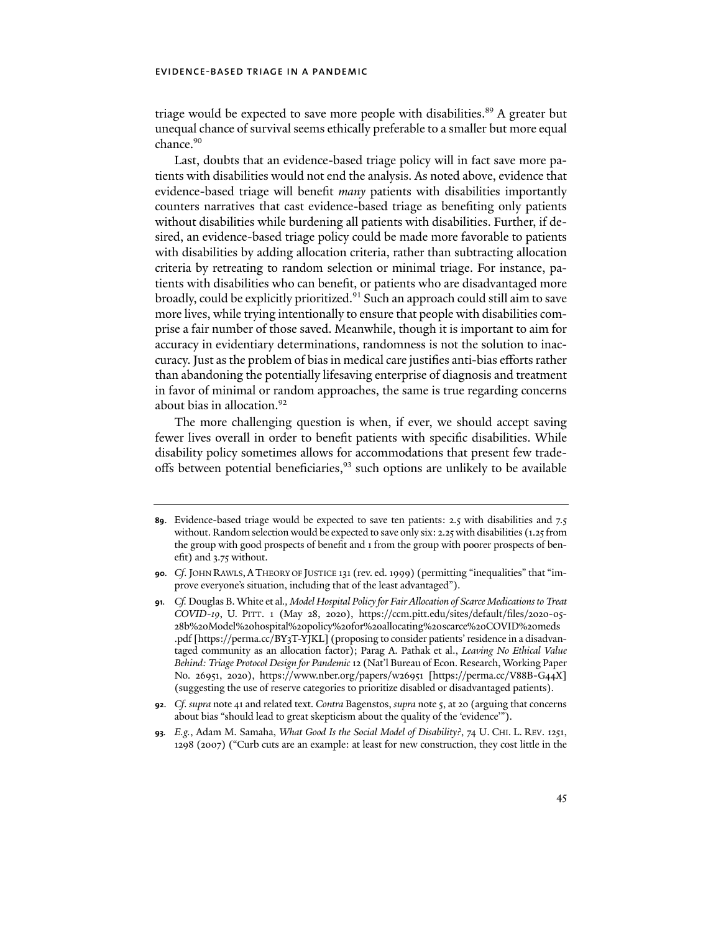triage would be expected to save more people with disabilities. <sup>89</sup> A greater but unequal chance of survival seems ethically preferable to a smaller but more equal chance.<sup>90</sup>

Last, doubts that an evidence-based triage policy will in fact save more patients with disabilities would not end the analysis. As noted above, evidence that evidence-based triage will benefit *many* patients with disabilities importantly counters narratives that cast evidence-based triage as benefiting only patients without disabilities while burdening all patients with disabilities. Further, if desired, an evidence-based triage policy could be made more favorable to patients with disabilities by adding allocation criteria, rather than subtracting allocation criteria by retreating to random selection or minimal triage. For instance, patients with disabilities who can benefit, or patients who are disadvantaged more broadly, could be explicitly prioritized.<sup>91</sup> Such an approach could still aim to save more lives, while trying intentionally to ensure that people with disabilities comprise a fair number of those saved. Meanwhile, though it is important to aim for accuracy in evidentiary determinations, randomness is not the solution to inaccuracy. Just asthe problem of bias in medical care justifies anti-bias efforts rather than abandoning the potentially lifesaving enterprise of diagnosis and treatment in favor of minimal or random approaches, the same is true regarding concerns about bias in allocation.<sup>92</sup>

The more challenging question is when, if ever, we should accept saving fewer lives overall in order to benefit patients with specific disabilities. While disability policy sometimes allows for accommodations that present few tradeoffs between potential beneficiaries,  $93$  such options are unlikely to be available

**<sup>89</sup>**. Evidence-based triage would be expected to save ten patients: 2.5 with disabilities and 7.5 without. Random selection would be expected to save only six: 2.25 with disabilities (1.25 from the group with good prospects of benefit and 1 from the group with poorer prospects of benefit) and 3.75 without.

**<sup>90</sup>***. Cf*. JOHN RAWLS,ATHEORY OF JUSTICE 131 (rev. ed. 1999) (permitting "inequalities" that "improve everyone's situation, including that of the least advantaged").

**<sup>91</sup>***. Cf.* Douglas B. White et al*., Model Hospital Policy for Fair Allocation of Scarce Medications to Treat COVID-19*, U. PITT. 1 (May 28, 2020), [https://ccm.pitt.edu/sites/default/files/](https://ccm.pitt.edu/sites/default/files/2020-05-28b%20Model%20hospital%20policy%20for%20allocating%20scarce%20COVID%20meds.pdf)2020-05- 28b%20Model%20hospital%20policy%20for%20[allocating](https://ccm.pitt.edu/sites/default/files/2020-05-28b%20Model%20hospital%20policy%20for%20allocating%20scarce%20COVID%20meds.pdf)%20scarce%20COVID%20meds .pdf [\[https://perma.cc/BY](https://perma.cc/BY3T-YJKL])3T-YJKL] (proposing to consider patients'residence in a disadvantaged community as an allocation factor); Parag A. Pathak et al., *Leaving No Ethical Value Behind: Triage Protocol Design for Pandemic* 12 (Nat'l Bureau of Econ. Research, Working Paper No. 26951, 2020), [https://www.nber.org/papers/w](https://www.nber.org/papers/w26951)26951 [\[https://perma.cc/V](https://perma.cc/V88B-G44X])88B-G44X] (suggesting the use of reserve categories to prioritize disabled or disadvantaged patients).

**<sup>92</sup>**. *Cf*. *supra* note 41 and related text. *Contra* Bagenstos, *supra* note 5, at 20 (arguing that concerns about bias "should lead to great skepticism about the quality of the 'evidence'").

**<sup>93</sup>***. E.g.*, Adam M. Samaha, *What Good Is the Social Model of Disability?*, 74 U. CHI. L. REV. 1251, 1298 (2007) ("Curb cuts are an example: at least for new construction, they cost little in the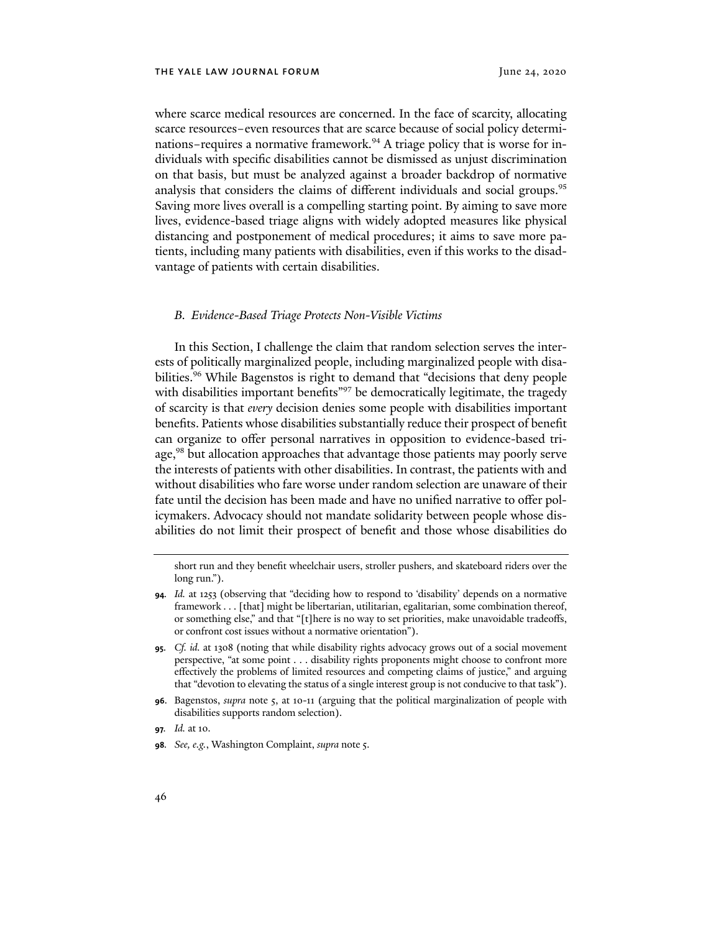where scarce medical resources are concerned. In the face of scarcity, allocating scarce resources–even resources that are scarce because of social policy determinations–requires a normative framework.<sup>94</sup> A triage policy that is worse for individuals with specific disabilities cannot be dismissed as unjust discrimination on that basis, but must be analyzed against a broader backdrop of normative analysis that considers the claims of different individuals and social groups.<sup>95</sup> Saving more lives overall is a compelling starting point. By aiming to save more lives, evidence-based triage aligns with widely adopted measures like physical distancing and postponement of medical procedures; it aims to save more patients, including many patients with disabilities, even if this works to the disadvantage of patients with certain disabilities.

#### *B. Evidence-Based Triage Protects Non-Visible Victims*

In this Section, I challenge the claim that random selection serves the interests of politically marginalized people, including marginalized people with disabilities.<sup>96</sup> While Bagenstos is right to demand that "decisions that deny people with disabilities important benefits<sup>"97</sup> be democratically legitimate, the tragedy of scarcity is that *every* decision denies some people with disabilities important benefits. Patients whose disabilities substantially reduce their prospect of benefit can organize to offer personal narratives in opposition to evidence-based triage,<sup>98</sup> but allocation approaches that advantage those patients may poorly serve the interests of patients with other disabilities. In contrast, the patients with and without disabilities who fare worse under random selection are unaware of their fate until the decision has been made and have no unified narrative to offer policymakers. Advocacy should not mandate solidarity between people whose disabilities do not limit their prospect of benefit and those whose disabilities do

short run and they benefit wheelchair users, stroller pushers, and skateboard riders over the long run.").

**<sup>94</sup>***. Id.* at 1253 (observing that "deciding how to respond to 'disability' depends on a normative framework . . . [that] might be libertarian, utilitarian, egalitarian, some combination thereof, or something else," and that "[t]here is no way to set priorities, make unavoidable tradeoffs, or confront cost issues without a normative orientation").

**<sup>95</sup>**. *Cf. id.* at 1308 (noting that while disability rights advocacy grows out of a social movement perspective, "at some point . . . disability rights proponents might choose to confront more effectively the problems of limited resources and competing claims of justice," and arguing that "devotion to elevating the status of a single interest group is not conducive to that task").

**<sup>96</sup>**. Bagenstos, *supra* note 5, at 10-11 (arguing that the political marginalization of people with disabilities supports random selection).

**<sup>97</sup>***. Id.* at 10.

**<sup>98</sup>***. See, e.g.*, Washington Complaint, *supra* note 5.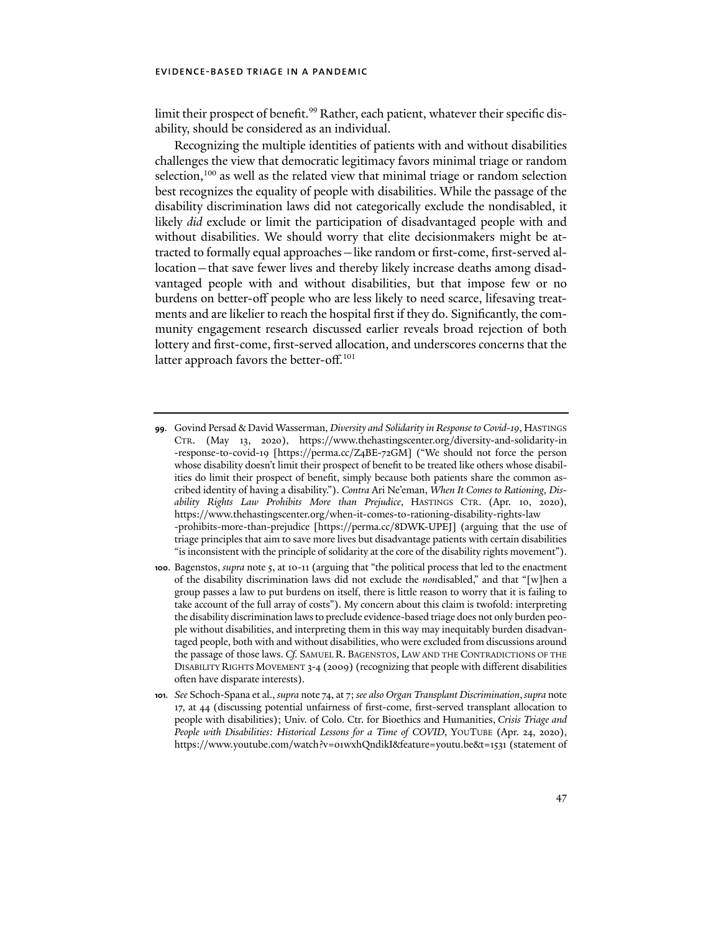limit their prospect of benefit.<sup>99</sup> Rather, each patient, whatever their specific disability, should be considered as an individual.

Recognizing the multiple identities of patients with and without disabilities challenges the view that democratic legitimacy favors minimal triage or random selection,<sup>100</sup> as well as the related view that minimal triage or random selection best recognizes the equality of people with disabilities. While the passage of the disability discrimination laws did not categorically exclude the nondisabled, it likely *did* exclude or limit the participation of disadvantaged people with and without disabilities. We should worry that elite decisionmakers might be attracted to formally equal approaches—like random or first-come, first-served allocation—that save fewer lives and thereby likely increase deaths among disadvantaged people with and without disabilities, but that impose few or no burdens on better-off people who are less likely to need scarce, lifesaving treatments and are likelier to reach the hospital first if they do. Significantly, the community engagement research discussed earlier reveals broad rejection of both lottery and first-come, first-served allocation, and underscores concerns that the latter approach favors the better-off.<sup>101</sup>

**<sup>99</sup>**. Govind Persad & David Wasserman, *Diversity and Solidarity in Response to Covid-19*, HASTINGS CTR. (May 13, 2020), [https://www.thehastingscenter.org/diversity-and-solidarity-in](https://www.thehastingscenter.org/diversity-and-solidarity-in-response-to-covid-19) [-response-to-covid-](https://www.thehastingscenter.org/diversity-and-solidarity-in-response-to-covid-19)19 [[https://perma.cc/Z](https://perma.cc/Z4BE-72GM])4BE-72GM] ("We should not force the person whose disability doesn't limit their prospect of benefit to be treated like others whose disabilities do limit their prospect of benefit, simply because both patients share the common ascribed identity of having a disability."). *Contra* Ari Ne'eman, *When It Comes to Rationing, Disability Rights Law Prohibits More than Prejudice*, HASTINGS CTR. (Apr. 10, 2020), [https://www.thehastingscenter.org/when-it-comes-to-rationing-disability-rights-law](https://www.thehastingscenter.org/when-it-comes-to-rationing-disability-rights-law-prohibits-more-than-prejudice/) [-prohibits-more-than-prejudice](https://www.thehastingscenter.org/when-it-comes-to-rationing-disability-rights-law-prohibits-more-than-prejudice/) [\[https://perma.cc/](https://perma.cc/8DWK-UPEJ])8DWK-UPEJ] (arguing that the use of triage principles that aim to save more lives but disadvantage patients with certain disabilities "is inconsistent with the principle of solidarity at the core of the disability rights movement").

**<sup>100</sup>**. Bagenstos, *supra* note 5, at 10-11 (arguing that "the political process that led to the enactment of the disability discrimination laws did not exclude the *non*disabled," and that "[w]hen a group passes a law to put burdens on itself, there is little reason to worry that it is failing to take account of the full array of costs"). My concern about this claim is twofold: interpreting the disability discrimination laws to preclude evidence-based triage does not only burden people without disabilities, and interpreting them in this way may inequitably burden disadvantaged people, both with and without disabilities, who were excluded from discussions around the passage of those laws. *Cf.* SAMUEL R. BAGENSTOS, LAW AND THE CONTRADICTIONS OF THE DISABILITY RIGHTS MOVEMENT 3-4 (2009) (recognizing that people with different disabilities often have disparate interests).

**<sup>101</sup>***. See* Schoch-Spana et al., *supra* note 74, at 7; *see also Organ Transplant Discrimination*,*supra* note 17, at 44 (discussing potential unfairness of first-come, first-served transplant allocation to people with disabilities); Univ. of Colo. Ctr. for Bioethics and Humanities, *Crisis Triage and People with Disabilities: Historical Lessons for a Time of COVID*, YOUTUBE (Apr. 24, 2020), [https://www.youtube.com/watch?v=o](https://www.youtube.com/watch?v=o1wxhQndikI&feature=youtu.be&t=1531)1wxhQndikI&feature=youtu.be&t=1531 (statement of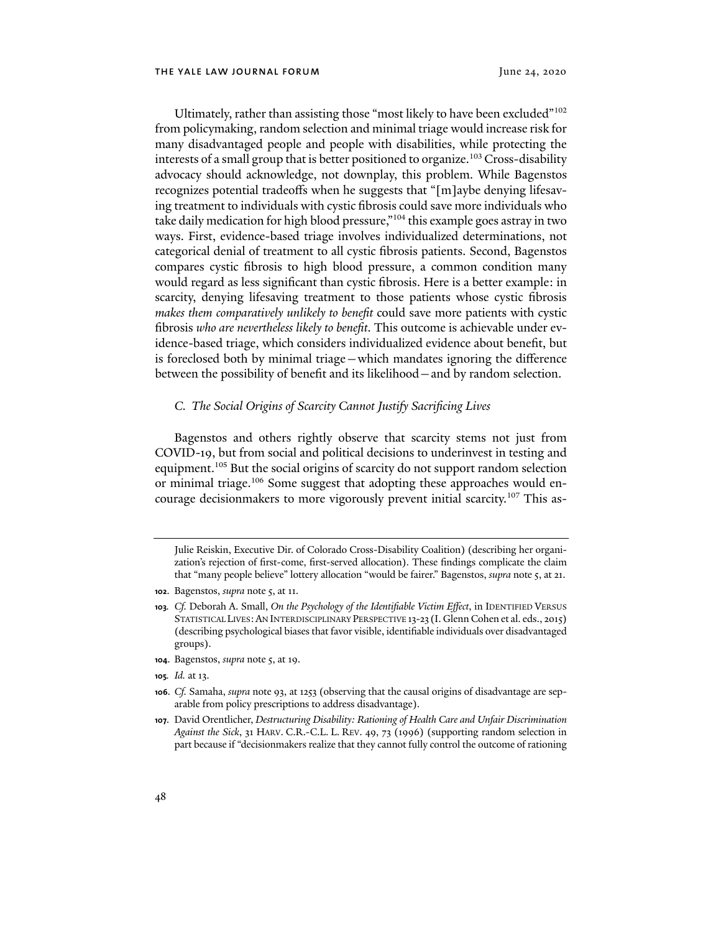Ultimately, rather than assisting those "most likely to have been excluded"<sup>102</sup> from policymaking, random selection and minimal triage would increase risk for many disadvantaged people and people with disabilities, while protecting the interests of a small group that is better positioned to organize.<sup>103</sup> Cross-disability advocacy should acknowledge, not downplay, this problem. While Bagenstos recognizes potential tradeoffs when he suggests that "[m]aybe denying lifesaving treatment to individuals with cystic fibrosis could save more individuals who take daily medication for high blood pressure,"<sup>104</sup> this example goes astray in two ways. First, evidence-based triage involves individualized determinations, not categorical denial of treatment to all cystic fibrosis patients. Second, Bagenstos compares cystic fibrosis to high blood pressure, a common condition many would regard as less significant than cystic fibrosis. Here is a better example: in scarcity, denying lifesaving treatment to those patients whose cystic fibrosis *makes them comparatively unlikely to benefit* could save more patients with cystic fibrosis *who are nevertheless likely to benefit*. This outcome is achievable under evidence-based triage, which considers individualized evidence about benefit, but is foreclosed both by minimal triage—which mandates ignoring the difference between the possibility of benefit and its likelihood—and by random selection.

#### *C. The Social Origins of Scarcity Cannot Justify Sacrificing Lives*

Bagenstos and others rightly observe that scarcity stems not just from COVID-19, but from social and political decisions to underinvest in testing and equipment.<sup>105</sup> But the social origins of scarcity do not support random selection or minimal triage.<sup>106</sup> Some suggest that adopting these approaches would encourage decisionmakers to more vigorously prevent initial scarcity.<sup>107</sup> This as-

- **104**. Bagenstos, *supra* note 5, at 19.
- **105***. Id.* at 13.

Julie Reiskin, Executive Dir. of Colorado Cross-Disability Coalition) (describing her organization's rejection of first-come, first-served allocation). These findings complicate the claim that "many people believe" lottery allocation "would be fairer." Bagenstos, *supra* note 5, at 21.

**<sup>102</sup>**. Bagenstos, *supra* note 5, at 11.

**<sup>103</sup>***. Cf.* Deborah A. Small, *On the Psychology of the Identifiable Victim Effect*, in IDENTIFIED VERSUS STATISTICAL LIVES:AN INTERDISCIPLINARY PERSPECTIVE 13-23 (I. Glenn Cohen et al. eds., 2015) (describing psychological biases that favor visible, identifiable individuals over disadvantaged groups).

**<sup>106</sup>**. *Cf.* Samaha, *supra* note 93, at 1253 (observing that the causal origins of disadvantage are separable from policy prescriptions to address disadvantage).

**<sup>107</sup>**. David Orentlicher, *Destructuring Disability: Rationing of Health Care and Unfair Discrimination Against the Sick*, 31 HARV. C.R.-C.L. L. REV. 49, 73 (1996) (supporting random selection in part because if "decisionmakers realize that they cannot fully control the outcome of rationing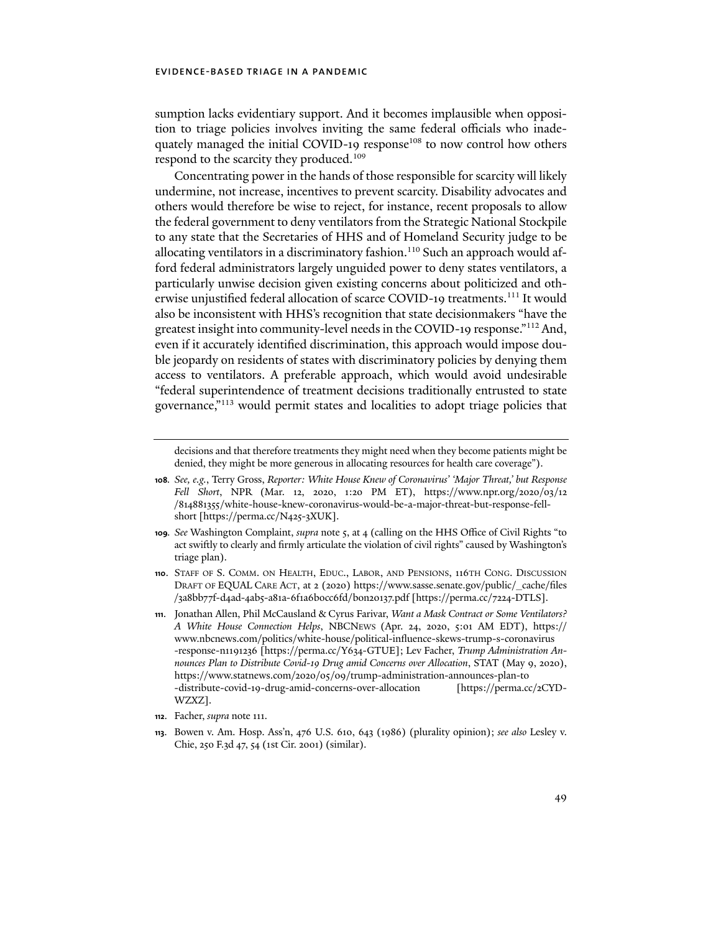sumption lacks evidentiary support. And it becomes implausible when opposition to triage policies involves inviting the same federal officials who inadequately managed the initial COVID-19 response<sup>108</sup> to now control how others respond to the scarcity they produced.<sup>109</sup>

Concentrating power in the hands of those responsible for scarcity will likely undermine, not increase, incentives to prevent scarcity. Disability advocates and others would therefore be wise to reject, for instance, recent proposals to allow the federal government to deny ventilators from the Strategic National Stockpile to any state that the Secretaries of HHS and of Homeland Security judge to be allocating ventilators in a discriminatory fashion.<sup>110</sup> Such an approach would afford federal administrators largely unguided power to deny states ventilators, a particularly unwise decision given existing concerns about politicized and otherwise unjustified federal allocation of scarce COVID-19 treatments.<sup>111</sup> It would also be inconsistent with HHS's recognition that state decisionmakers "have the greatest insight into community-level needs in the COVID-19 response."112 And, even if it accurately identified discrimination, this approach would impose double jeopardy on residents of states with discriminatory policies by denying them access to ventilators. A preferable approach, which would avoid undesirable "federal superintendence of treatment decisions traditionally entrusted to state governance,"113 would permit states and localities to adopt triage policies that

decisions and that therefore treatments they might need when they become patients might be denied, they might be more generous in allocating resources for health care coverage").

- **109***. See* Washington Complaint, *supra* note 5, at 4 (calling on the HHS Office of Civil Rights "to act swifly to clearly and firmly articulate the violation of civil rights" caused by Washington's triage plan).
- **110**. STAFF OF S. COMM. ON HEALTH, EDUC., LABOR, AND PENSIONS, 116TH CONG. DISCUSSION DRAFT OF EQUAL CARE ACT, at 2 (2020) [https://www.sasse.senate.gov/public/\\_cache/files](https://www.sasse.senate.gov/public/_cache/files/3a8bb77f-d4ad-4ab5-a81a-6f1a6b0cc6fd/bon20137.pdf%20%20%20) /3a8bb77f-d4ad-4ab5-a81a-6f1a6b0cc6[fd/bon](https://www.sasse.senate.gov/public/_cache/files/3a8bb77f-d4ad-4ab5-a81a-6f1a6b0cc6fd/bon20137.pdf%20%20%20)20137.pdf [\[https://perma.cc/](https://perma.cc/7224-DTLS])7224-DTLS].
- **111**. Jonathan Allen, Phil McCausland & Cyrus Farivar, *Want a Mask Contract or Some Ventilators? A White House Connection Helps*, NBCNEWS (Apr. 24, 2020, 5:01 AM EDT), [https://](https://www.nbcnews.com/politics/white-house/political-influence-skews-trump-s-coronavirus-response-n1191236) [www.nbcnews.com/politics/white-house/political-influence-skews-trump-s-coronavirus](https://www.nbcnews.com/politics/white-house/political-influence-skews-trump-s-coronavirus-response-n1191236) -response-n1191236 [[https://perma.cc/Y](https://perma.cc/Y634-GTUE])634-GTUE]; Lev Facher, *Trump Administration Announces Plan to Distribute Covid-19 Drug amid Concerns over Allocation*, STAT (May 9, 2020), https://www.statnews.com/2020/05/09[/trump-administration-announces-plan-to](https://www.statnews.com/2020/05/09/trump-administration-announces-plan-to-distribute-covid-19-drug-amid-concerns-over-allocation/) -distribute-covid-19[-drug-amid-concerns-over-allocation](https://www.statnews.com/2020/05/09/trump-administration-announces-plan-to-distribute-covid-19-drug-amid-concerns-over-allocation/) [\[https://perma.cc/](https://perma.cc/2CYD-WZXZ])2CYD-[WZXZ\].](https://perma.cc/2CYD-WZXZ])
- **112**. Facher, *supra* note 111.
- **113**. Bowen v. Am. Hosp. Ass'n, 476 U.S. 610, 643 (1986) (plurality opinion); *see also* Lesley v. Chie, 250 F.3d 47, 54 (1st Cir. 2001) (similar).

**<sup>108</sup>***. See, e.g.*, Terry Gross, *Reporter: White House Knew of Coronavirus' 'Major Threat,' but Response Fell Short*, NPR (Mar. 12, 2020, 1:20 PM ET), [https://www.npr.org/](https://www.npr.org/2020/03/12/814881355/white-house-knew-coronavirus-would-be-a-major-threat-but-response-fell-short)2020/03/12 /814881355[/white-house-knew-coronavirus-would-be-a-major-threat-but-response-fell](https://www.npr.org/2020/03/12/814881355/white-house-knew-coronavirus-would-be-a-major-threat-but-response-fell-short)short [[https://perma.cc/N](https://perma.cc/N425-3XUK])425-3XUK].